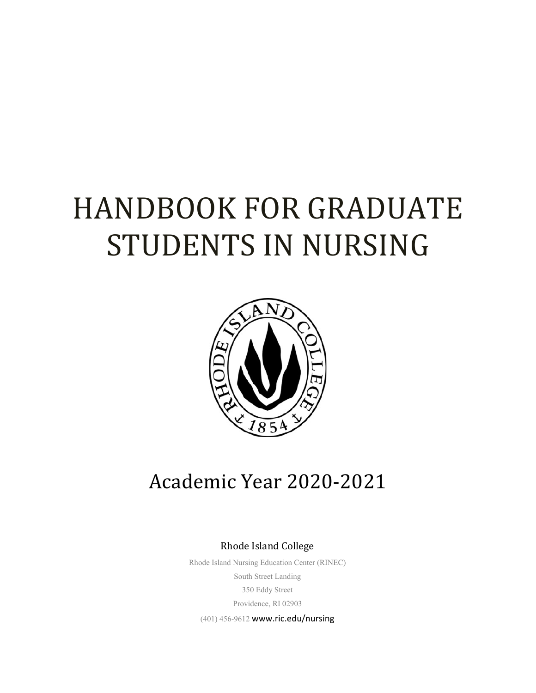# HANDBOOK FOR GRADUATE STUDENTS IN NURSING



# Academic Year 2020-2021

Rhode Island College

Rhode Island Nursing Education Center (RINEC) South Street Landing 350 Eddy Street Providence, RI 02903

(401) 456-9612 www.ric.edu/nursing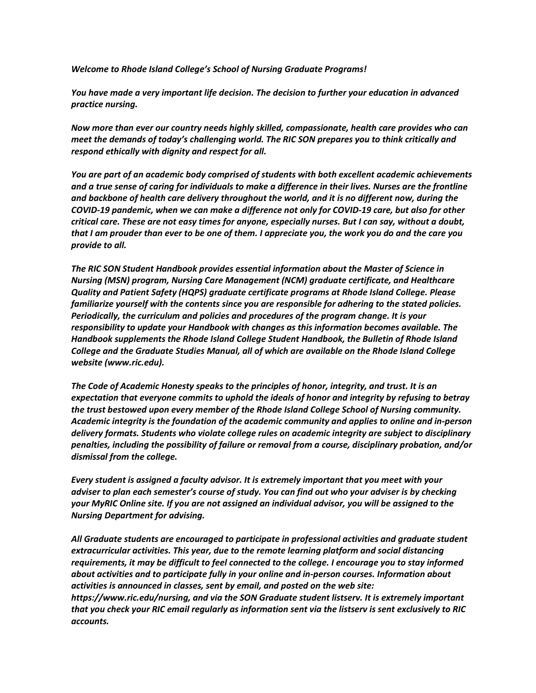*Welcome to Rhode Island College's School of Nursing Graduate Programs!*

*You have made a very important life decision. The decision to further your education in advanced practice nursing.*

*Now more than ever our country needs highly skilled, compassionate, health care provides who can meet the demands of today's challenging world. The RIC SON prepares you to think critically and respond ethically with dignity and respect for all.*

*You are part of an academic body comprised of students with both excellent academic achievements and a true sense of caring for individuals to make a difference in their lives. Nurses are the frontline and backbone of health care delivery throughout the world, and it is no different now, during the COVID-19 pandemic, when we can make a difference not only for COVID-19 care, but also for other critical care. These are not easy times for anyone, especially nurses. But I can say, without a doubt, that I am prouder than ever to be one of them. I appreciate you, the work you do and the care you provide to all.*

*The RIC SON Student Handbook provides essential information about the Master of Science in Nursing (MSN) program, Nursing Care Management (NCM) graduate certificate, and Healthcare Quality and Patient Safety (HQPS) graduate certificate programs at Rhode Island College. Please familiarize yourself with the contents since you are responsible for adhering to the stated policies. Periodically, the curriculum and policies and procedures of the program change. It is your responsibility to update your Handbook with changes as this information becomes available. The Handbook supplements the Rhode Island College Student Handbook, the Bulletin of Rhode Island College and the Graduate Studies Manual, all of which are available on the Rhode Island College website (www.ric.edu).* 

*The Code of Academic Honesty speaks to the principles of honor, integrity, and trust. It is an expectation that everyone commits to uphold the ideals of honor and integrity by refusing to betray the trust bestowed upon every member of the Rhode Island College School of Nursing community. Academic integrity is the foundation of the academic community and applies to online and in-person delivery formats. Students who violate college rules on academic integrity are subject to disciplinary penalties, including the possibility of failure or removal from a course, disciplinary probation, and/or dismissal from the college.*

*Every student is assigned a faculty advisor. It is extremely important that you meet with your adviser to plan each semester's course of study. You can find out who your adviser is by checking your MyRIC Online site. If you are not assigned an individual advisor, you will be assigned to the Nursing Department for advising.*

*All Graduate students are encouraged to participate in professional activities and graduate student extracurricular activities. This year, due to the remote learning platform and social distancing requirements, it may be difficult to feel connected to the college. I encourage you to stay informed about activities and to participate fully in your online and in-person courses. Information about activities is announced in classes, sent by email, and posted on the web site: https://www.ric.edu/nursing, and via the SON Graduate student listserv. It is extremely important that you check your RIC email regularly as information sent via the listserv is sent exclusively to RIC accounts.*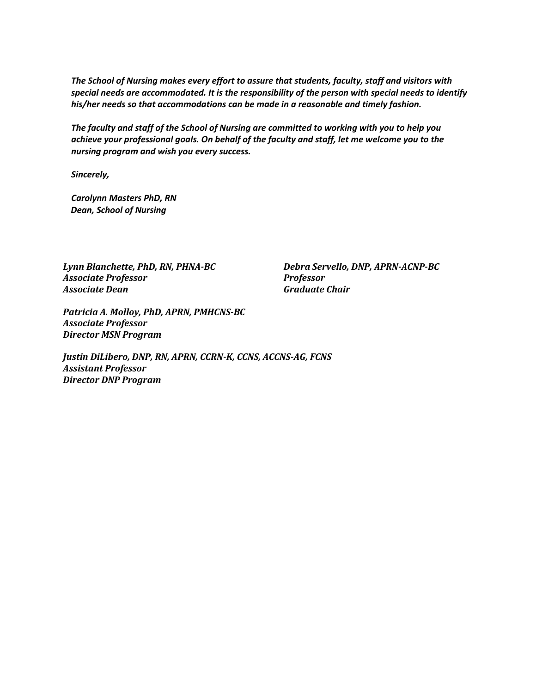*The School of Nursing makes every effort to assure that students, faculty, staff and visitors with special needs are accommodated. It is the responsibility of the person with special needs to identify his/her needs so that accommodations can be made in a reasonable and timely fashion.*

*The faculty and staff of the School of Nursing are committed to working with you to help you achieve your professional goals. On behalf of the faculty and staff, let me welcome you to the nursing program and wish you every success.*

*Sincerely,*

*Carolynn Masters PhD, RN Dean, School of Nursing*

*Associate Professor Professor Associate Dean Graduate Chair*

*Lynn Blanchette, PhD, RN, PHNA-BC Debra Servello, DNP, APRN-ACNP-BC*

*Patricia A. Molloy, PhD, APRN, PMHCNS-BC Associate Professor Director MSN Program*

*Justin DiLibero, DNP, RN, APRN, CCRN-K, CCNS, ACCNS-AG, FCNS Assistant Professor Director DNP Program*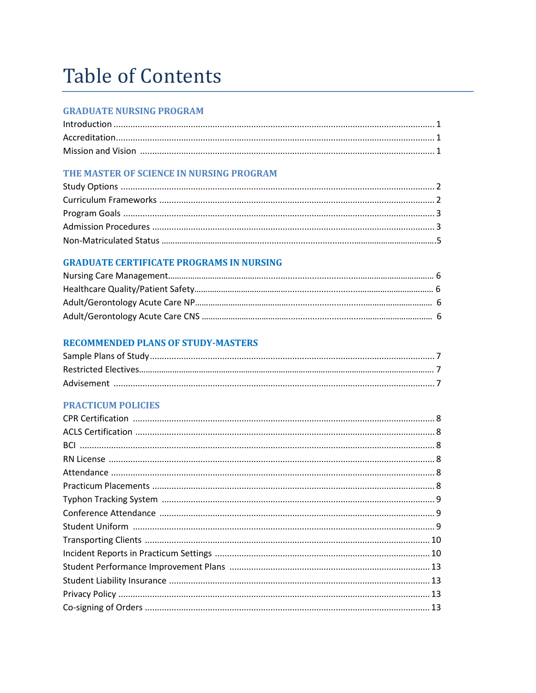# **Table of Contents**

# **GRADUATE NURSING PROGRAM**

# THE MASTER OF SCIENCE IN NURSING PROGRAM

# **GRADUATE CERTIFICATE PROGRAMS IN NURSING**

# **RECOMMENDED PLANS OF STUDY-MASTERS**

# **PRACTICUM POLICIES**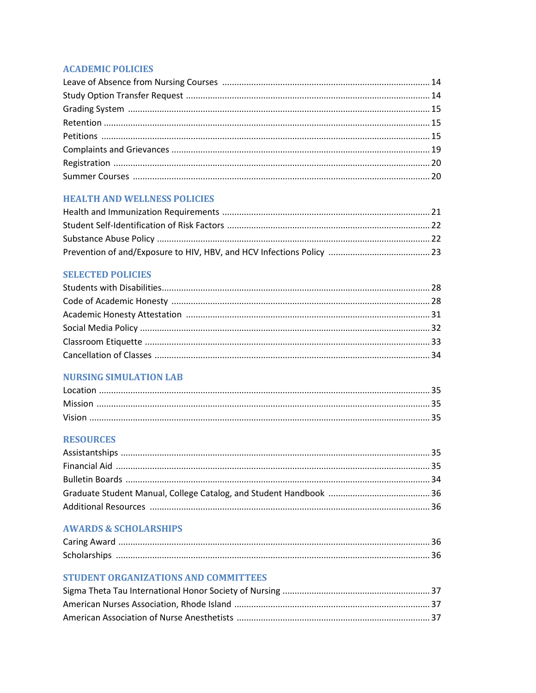# **ACADEMIC POLICIES**

# **HEALTH AND WELLNESS POLICIES**

# **SELECTED POLICIES**

# **NURSING SIMULATION LAB**

# **RESOURCES**

#### **AWARDS & SCHOLARSHIPS**

| <b>Scholarships</b> |  |
|---------------------|--|

# STUDENT ORGANIZATIONS AND COMMITTEES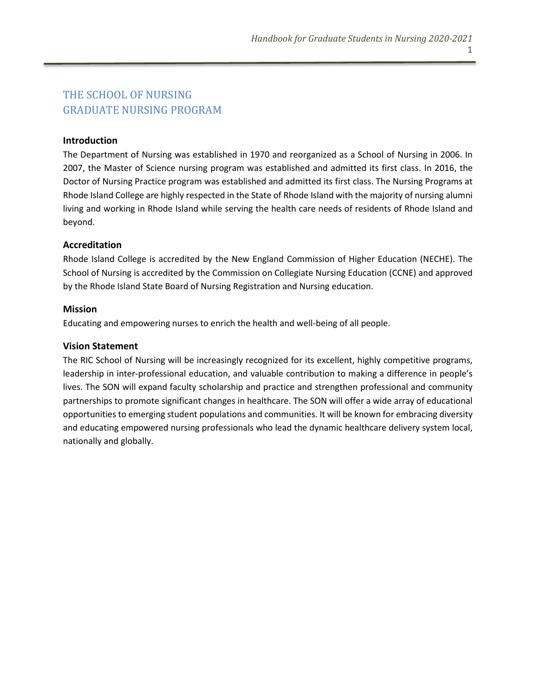# THE SCHOOL OF NURSING GRADUATE NURSING PROGRAM

#### **Introduction**

The Department of Nursing was established in 1970 and reorganized as a School of Nursing in 2006. In 2007, the Master of Science nursing program was established and admitted its first class. In 2016, the Doctor of Nursing Practice program was established and admitted its first class. The Nursing Programs at Rhode Island College are highly respected in the State of Rhode Island with the majority of nursing alumni living and working in Rhode Island while serving the health care needs of residents of Rhode Island and beyond.

#### **Accreditation**

Rhode Island College is accredited by the New England Commission of Higher Education (NECHE). The School of Nursing is accredited by the Commission on Collegiate Nursing Education (CCNE) and approved by the Rhode Island State Board of Nursing Registration and Nursing education.

#### **Mission**

Educating and empowering nurses to enrich the health and well-being of all people.

#### **Vision Statement**

The RIC School of Nursing will be increasingly recognized for its excellent, highly competitive programs, leadership in inter-professional education, and valuable contribution to making a difference in people's lives. The SON will expand faculty scholarship and practice and strengthen professional and community partnerships to promote significant changes in healthcare. The SON will offer a wide array of educational opportunities to emerging student populations and communities. It will be known for embracing diversity and educating empowered nursing professionals who lead the dynamic healthcare delivery system local, nationally and globally.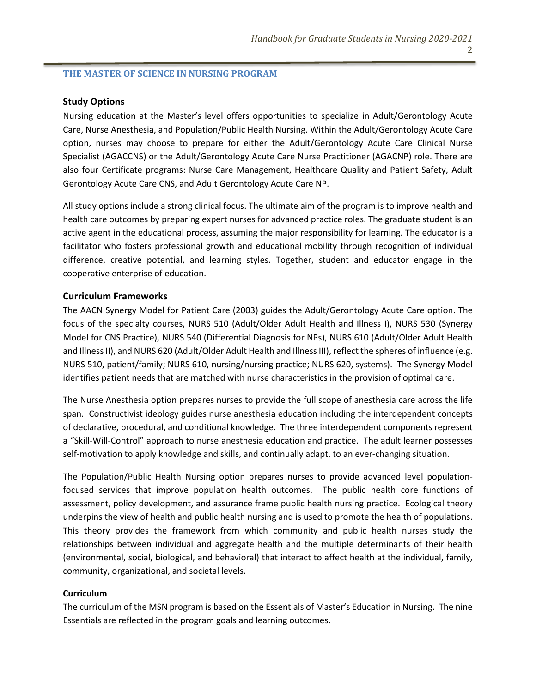#### **THE MASTER OF SCIENCE IN NURSING PROGRAM**

#### **Study Options**

Nursing education at the Master's level offers opportunities to specialize in Adult/Gerontology Acute Care, Nurse Anesthesia, and Population/Public Health Nursing. Within the Adult/Gerontology Acute Care option, nurses may choose to prepare for either the Adult/Gerontology Acute Care Clinical Nurse Specialist (AGACCNS) or the Adult/Gerontology Acute Care Nurse Practitioner (AGACNP) role. There are also four Certificate programs: Nurse Care Management, Healthcare Quality and Patient Safety, Adult Gerontology Acute Care CNS, and Adult Gerontology Acute Care NP.

All study options include a strong clinical focus. The ultimate aim of the program is to improve health and health care outcomes by preparing expert nurses for advanced practice roles. The graduate student is an active agent in the educational process, assuming the major responsibility for learning. The educator is a facilitator who fosters professional growth and educational mobility through recognition of individual difference, creative potential, and learning styles. Together, student and educator engage in the cooperative enterprise of education.

#### **Curriculum Frameworks**

The AACN Synergy Model for Patient Care (2003) guides the Adult/Gerontology Acute Care option. The focus of the specialty courses, NURS 510 (Adult/Older Adult Health and Illness I), NURS 530 (Synergy Model for CNS Practice), NURS 540 (Differential Diagnosis for NPs), NURS 610 (Adult/Older Adult Health and Illness II), and NURS 620 (Adult/Older Adult Health and Illness III), reflect the spheres of influence (e.g. NURS 510, patient/family; NURS 610, nursing/nursing practice; NURS 620, systems). The Synergy Model identifies patient needs that are matched with nurse characteristics in the provision of optimal care.

The Nurse Anesthesia option prepares nurses to provide the full scope of anesthesia care across the life span. Constructivist ideology guides nurse anesthesia education including the interdependent concepts of declarative, procedural, and conditional knowledge. The three interdependent components represent a "Skill-Will-Control" approach to nurse anesthesia education and practice. The adult learner possesses self-motivation to apply knowledge and skills, and continually adapt, to an ever-changing situation.

The Population/Public Health Nursing option prepares nurses to provide advanced level populationfocused services that improve population health outcomes. The public health core functions of assessment, policy development, and assurance frame public health nursing practice. Ecological theory underpins the view of health and public health nursing and is used to promote the health of populations. This theory provides the framework from which community and public health nurses study the relationships between individual and aggregate health and the multiple determinants of their health (environmental, social, biological, and behavioral) that interact to affect health at the individual, family, community, organizational, and societal levels.

#### **Curriculum**

The curriculum of the MSN program is based on the Essentials of Master's Education in Nursing. The nine Essentials are reflected in the program goals and learning outcomes.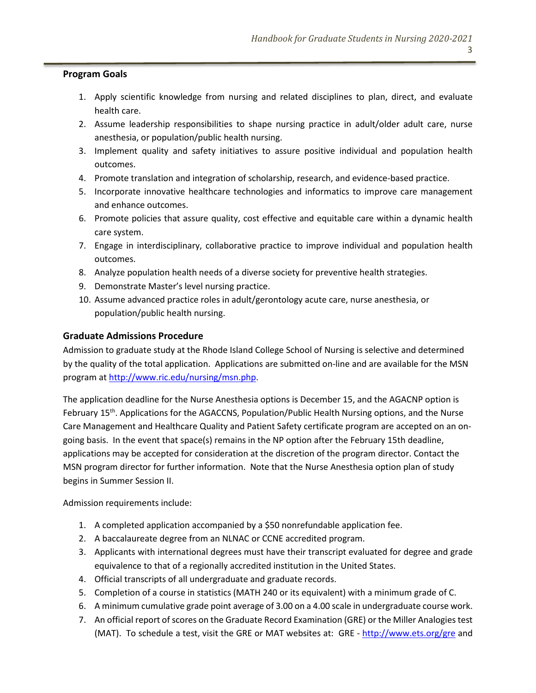#### **Program Goals**

- 1. Apply scientific knowledge from nursing and related disciplines to plan, direct, and evaluate health care.
- 2. Assume leadership responsibilities to shape nursing practice in adult/older adult care, nurse anesthesia, or population/public health nursing.
- 3. Implement quality and safety initiatives to assure positive individual and population health outcomes.
- 4. Promote translation and integration of scholarship, research, and evidence-based practice.
- 5. Incorporate innovative healthcare technologies and informatics to improve care management and enhance outcomes.
- 6. Promote policies that assure quality, cost effective and equitable care within a dynamic health care system.
- 7. Engage in interdisciplinary, collaborative practice to improve individual and population health outcomes.
- 8. Analyze population health needs of a diverse society for preventive health strategies.
- 9. Demonstrate Master's level nursing practice.
- 10. Assume advanced practice roles in adult/gerontology acute care, nurse anesthesia, or population/public health nursing.

# **Graduate Admissions Procedure**

Admission to graduate study at the Rhode Island College School of Nursing is selective and determined by the quality of the total application. Applications are submitted on-line and are available for the MSN program a[t http://www.ric.edu/nursing/msn.php.](http://www.ric.edu/nursing/msn.php)

The application deadline for the Nurse Anesthesia options is December 15, and the AGACNP option is February 15th. Applications for the AGACCNS, Population/Public Health Nursing options, and the Nurse Care Management and Healthcare Quality and Patient Safety certificate program are accepted on an ongoing basis. In the event that space(s) remains in the NP option after the February 15th deadline, applications may be accepted for consideration at the discretion of the program director. Contact the MSN program director for further information. Note that the Nurse Anesthesia option plan of study begins in Summer Session II.

Admission requirements include:

- 1. A completed application accompanied by a \$50 nonrefundable application fee.
- 2. A baccalaureate degree from an NLNAC or CCNE accredited program.
- 3. Applicants with international degrees must have their transcript evaluated for degree and grade equivalence to that of a regionally accredited institution in the United States.
- 4. Official transcripts of all undergraduate and graduate records.
- 5. Completion of a course in statistics (MATH 240 or its equivalent) with a minimum grade of C.
- 6. A minimum cumulative grade point average of 3.00 on a 4.00 scale in undergraduate course work.
- 7. An official report of scores on the Graduate Record Examination (GRE) or the Miller Analogies test (MAT). To schedule a test, visit the GRE or MAT websites at: GRE - <http://www.ets.org/gre> and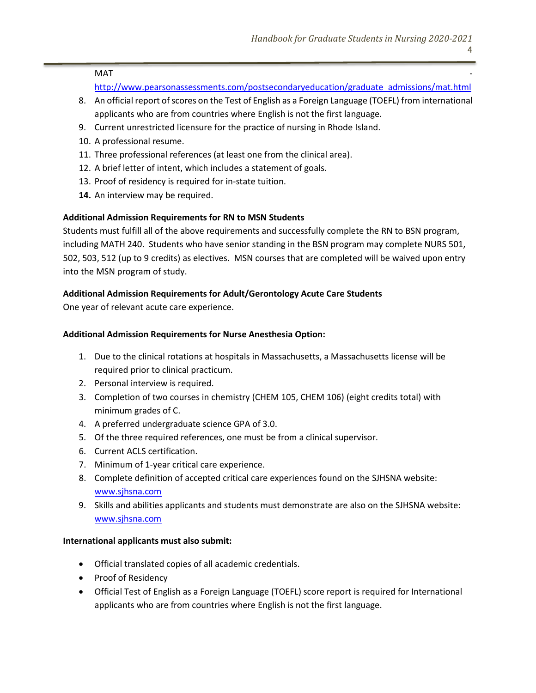$MAT$ 

[http://www.pearsonassessments.com/postsecondaryeducation/graduate\\_admissions/mat.html](http://www.pearsonassessments.com/postsecondaryeducation/graduate_admissions/mat.html)

- 8. An official report of scores on the Test of English as a Foreign Language (TOEFL) from international applicants who are from countries where English is not the first language.
- 9. Current unrestricted licensure for the practice of nursing in Rhode Island.
- 10. A professional resume.
- 11. Three professional references (at least one from the clinical area).
- 12. A brief letter of intent, which includes a statement of goals.
- 13. Proof of residency is required for in-state tuition.
- **14.** An interview may be required.

# **Additional Admission Requirements for RN to MSN Students**

Students must fulfill all of the above requirements and successfully complete the RN to BSN program, including MATH 240. Students who have senior standing in the BSN program may complete NURS 501, 502, 503, 512 (up to 9 credits) as electives. MSN courses that are completed will be waived upon entry into the MSN program of study.

# **Additional Admission Requirements for Adult/Gerontology Acute Care Students**

One year of relevant acute care experience.

#### **Additional Admission Requirements for Nurse Anesthesia Option:**

- 1. Due to the clinical rotations at hospitals in Massachusetts, a Massachusetts license will be required prior to clinical practicum.
- 2. Personal interview is required.
- 3. Completion of two courses in chemistry (CHEM 105, CHEM 106) (eight credits total) with minimum grades of C.
- 4. A preferred undergraduate science GPA of 3.0.
- 5. Of the three required references, one must be from a clinical supervisor.
- 6. Current ACLS certification.
- 7. Minimum of 1-year critical care experience.
- 8. Complete definition of accepted critical care experiences found on the SJHSNA website: [www.sjhsna.com](http://www.sjhsna.com/)
- 9. Skills and abilities applicants and students must demonstrate are also on the SJHSNA website: [www.sjhsna.com](http://www.sjhsna.com/)

#### **International applicants must also submit:**

- Official translated copies of all academic credentials.
- Proof of Residency
- Official Test of English as a Foreign Language (TOEFL) score report is required for International applicants who are from countries where English is not the first language.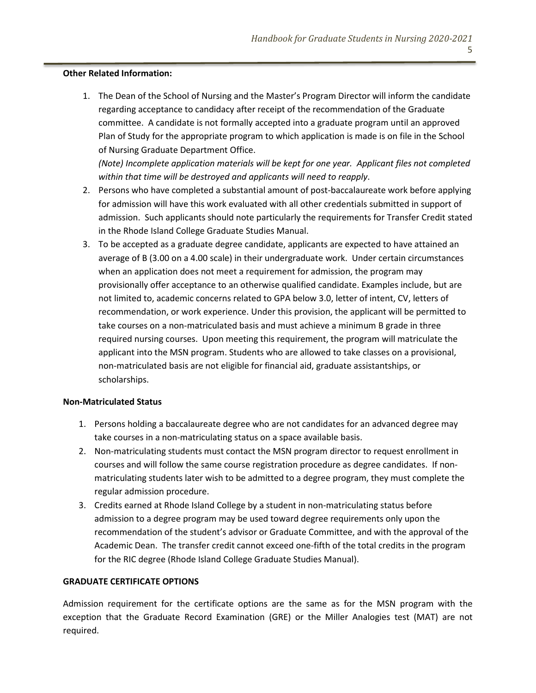#### **Other Related Information:**

1. The Dean of the School of Nursing and the Master's Program Director will inform the candidate regarding acceptance to candidacy after receipt of the recommendation of the Graduate committee. A candidate is not formally accepted into a graduate program until an approved Plan of Study for the appropriate program to which application is made is on file in the School of Nursing Graduate Department Office.

*(Note) Incomplete application materials will be kept for one year. Applicant files not completed within that time will be destroyed and applicants will need to reapply*.

- 2. Persons who have completed a substantial amount of post-baccalaureate work before applying for admission will have this work evaluated with all other credentials submitted in support of admission. Such applicants should note particularly the requirements for Transfer Credit stated in the Rhode Island College Graduate Studies Manual.
- 3. To be accepted as a graduate degree candidate, applicants are expected to have attained an average of B (3.00 on a 4.00 scale) in their undergraduate work. Under certain circumstances when an application does not meet a requirement for admission, the program may provisionally offer acceptance to an otherwise qualified candidate. Examples include, but are not limited to, academic concerns related to GPA below 3.0, letter of intent, CV, letters of recommendation, or work experience. Under this provision, the applicant will be permitted to take courses on a non-matriculated basis and must achieve a minimum B grade in three required nursing courses. Upon meeting this requirement, the program will matriculate the applicant into the MSN program. Students who are allowed to take classes on a provisional, non-matriculated basis are not eligible for financial aid, graduate assistantships, or scholarships.

#### **Non-Matriculated Status**

- 1. Persons holding a baccalaureate degree who are not candidates for an advanced degree may take courses in a non-matriculating status on a space available basis.
- 2. Non-matriculating students must contact the MSN program director to request enrollment in courses and will follow the same course registration procedure as degree candidates. If nonmatriculating students later wish to be admitted to a degree program, they must complete the regular admission procedure.
- 3. Credits earned at Rhode Island College by a student in non-matriculating status before admission to a degree program may be used toward degree requirements only upon the recommendation of the student's advisor or Graduate Committee, and with the approval of the Academic Dean. The transfer credit cannot exceed one-fifth of the total credits in the program for the RIC degree (Rhode Island College Graduate Studies Manual).

#### **GRADUATE CERTIFICATE OPTIONS**

Admission requirement for the certificate options are the same as for the MSN program with the exception that the Graduate Record Examination (GRE) or the Miller Analogies test (MAT) are not required.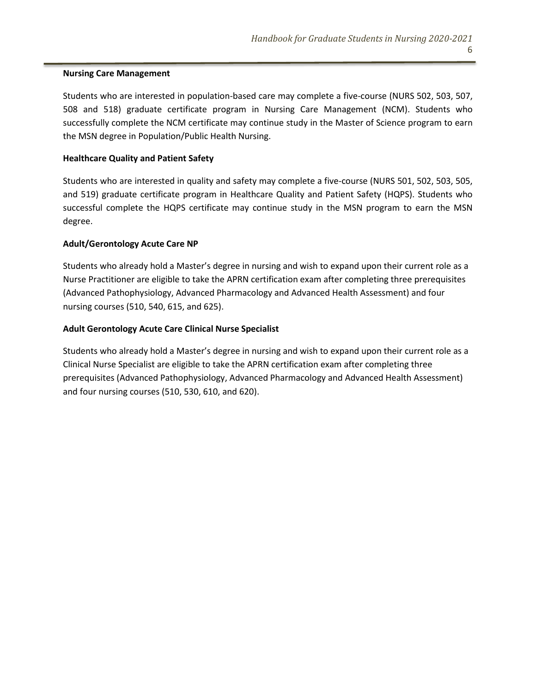#### **Nursing Care Management**

Students who are interested in population-based care may complete a five-course (NURS 502, 503, 507, 508 and 518) graduate certificate program in Nursing Care Management (NCM). Students who successfully complete the NCM certificate may continue study in the Master of Science program to earn the MSN degree in Population/Public Health Nursing.

#### **Healthcare Quality and Patient Safety**

Students who are interested in quality and safety may complete a five-course (NURS 501, 502, 503, 505, and 519) graduate certificate program in Healthcare Quality and Patient Safety (HQPS). Students who successful complete the HQPS certificate may continue study in the MSN program to earn the MSN degree.

#### **Adult/Gerontology Acute Care NP**

Students who already hold a Master's degree in nursing and wish to expand upon their current role as a Nurse Practitioner are eligible to take the APRN certification exam after completing three prerequisites (Advanced Pathophysiology, Advanced Pharmacology and Advanced Health Assessment) and four nursing courses (510, 540, 615, and 625).

#### **Adult Gerontology Acute Care Clinical Nurse Specialist**

Students who already hold a Master's degree in nursing and wish to expand upon their current role as a Clinical Nurse Specialist are eligible to take the APRN certification exam after completing three prerequisites (Advanced Pathophysiology, Advanced Pharmacology and Advanced Health Assessment) and four nursing courses (510, 530, 610, and 620).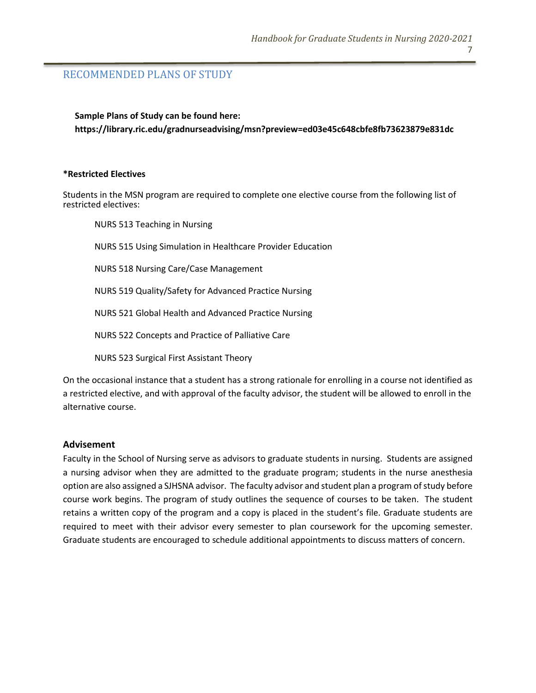# RECOMMENDED PLANS OF STUDY

**Sample Plans of Study can be found here: https://library.ric.edu/gradnurseadvising/msn?preview=ed03e45c648cbfe8fb73623879e831dc**

#### **\*Restricted Electives**

Students in the MSN program are required to complete one elective course from the following list of restricted electives:

NURS 513 Teaching in Nursing NURS 515 Using Simulation in Healthcare Provider Education NURS 518 Nursing Care/Case Management NURS 519 Quality/Safety for Advanced Practice Nursing NURS 521 Global Health and Advanced Practice Nursing NURS 522 Concepts and Practice of Palliative Care NURS 523 Surgical First Assistant Theory

On the occasional instance that a student has a strong rationale for enrolling in a course not identified as a restricted elective, and with approval of the faculty advisor, the student will be allowed to enroll in the alternative course.

#### **Advisement**

Faculty in the School of Nursing serve as advisors to graduate students in nursing. Students are assigned a nursing advisor when they are admitted to the graduate program; students in the nurse anesthesia option are also assigned a SJHSNA advisor. The faculty advisor and student plan a program of study before course work begins. The program of study outlines the sequence of courses to be taken. The student retains a written copy of the program and a copy is placed in the student's file. Graduate students are required to meet with their advisor every semester to plan coursework for the upcoming semester. Graduate students are encouraged to schedule additional appointments to discuss matters of concern.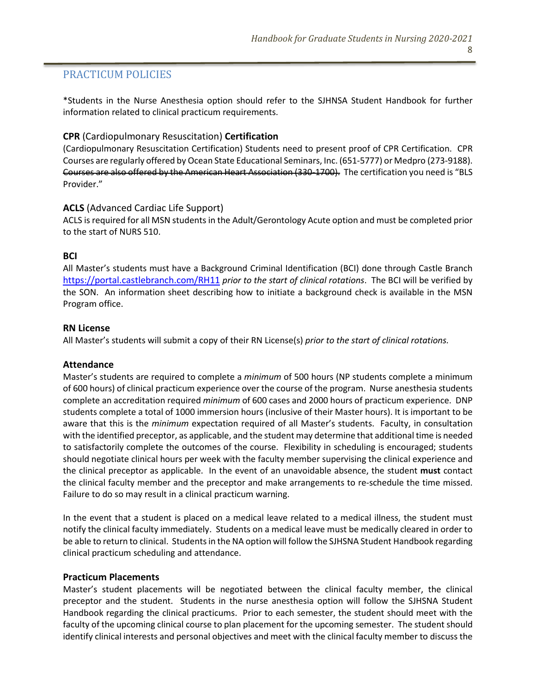# PRACTICUM POLICIES

\*Students in the Nurse Anesthesia option should refer to the SJHNSA Student Handbook for further information related to clinical practicum requirements.

#### **CPR** (Cardiopulmonary Resuscitation) **Certification**

(Cardiopulmonary Resuscitation Certification) Students need to present proof of CPR Certification. CPR Courses are regularly offered by Ocean State Educational Seminars, Inc. (651-5777) or Medpro (273-9188). Courses are also offered by the American Heart Association (330-1700). The certification you need is "BLS Provider."

#### **ACLS** (Advanced Cardiac Life Support)

ACLS is required for all MSN students in the Adult/Gerontology Acute option and must be completed prior to the start of NURS 510.

#### **BCI**

All Master's students must have a Background Criminal Identification (BCI) done through Castle Branch <https://portal.castlebranch.com/RH11> *prior to the start of clinical rotations*. The BCI will be verified by the SON. An information sheet describing how to initiate a background check is available in the MSN Program office.

#### **RN License**

All Master's students will submit a copy of their RN License(s) *prior to the start of clinical rotations.*

#### **Attendance**

Master's students are required to complete a *minimum* of 500 hours (NP students complete a minimum of 600 hours) of clinical practicum experience over the course of the program. Nurse anesthesia students complete an accreditation required *minimum* of 600 cases and 2000 hours of practicum experience. DNP students complete a total of 1000 immersion hours (inclusive of their Master hours). It is important to be aware that this is the *minimum* expectation required of all Master's students. Faculty, in consultation with the identified preceptor, as applicable, and the student may determine that additional time is needed to satisfactorily complete the outcomes of the course. Flexibility in scheduling is encouraged; students should negotiate clinical hours per week with the faculty member supervising the clinical experience and the clinical preceptor as applicable. In the event of an unavoidable absence, the student **must** contact the clinical faculty member and the preceptor and make arrangements to re-schedule the time missed. Failure to do so may result in a clinical practicum warning.

In the event that a student is placed on a medical leave related to a medical illness, the student must notify the clinical faculty immediately. Students on a medical leave must be medically cleared in order to be able to return to clinical. Students in the NA option will follow the SJHSNA Student Handbook regarding clinical practicum scheduling and attendance.

#### **Practicum Placements**

Master's student placements will be negotiated between the clinical faculty member, the clinical preceptor and the student. Students in the nurse anesthesia option will follow the SJHSNA Student Handbook regarding the clinical practicums. Prior to each semester, the student should meet with the faculty of the upcoming clinical course to plan placement for the upcoming semester. The student should identify clinical interests and personal objectives and meet with the clinical faculty member to discuss the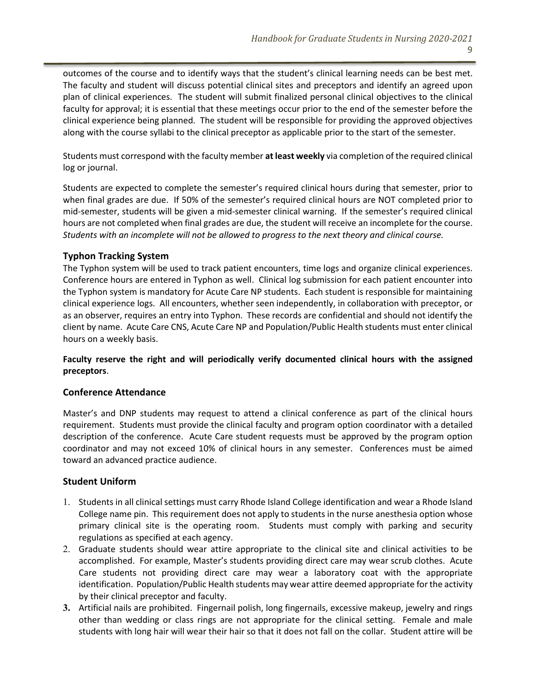outcomes of the course and to identify ways that the student's clinical learning needs can be best met. The faculty and student will discuss potential clinical sites and preceptors and identify an agreed upon plan of clinical experiences. The student will submit finalized personal clinical objectives to the clinical faculty for approval; it is essential that these meetings occur prior to the end of the semester before the clinical experience being planned. The student will be responsible for providing the approved objectives along with the course syllabi to the clinical preceptor as applicable prior to the start of the semester.

Students must correspond with the faculty member **at least weekly** via completion of the required clinical log or journal.

Students are expected to complete the semester's required clinical hours during that semester, prior to when final grades are due. If 50% of the semester's required clinical hours are NOT completed prior to mid-semester, students will be given a mid-semester clinical warning. If the semester's required clinical hours are not completed when final grades are due, the student will receive an incomplete for the course. *Students with an incomplete will not be allowed to progress to the next theory and clinical course.*

#### **Typhon Tracking System**

The Typhon system will be used to track patient encounters, time logs and organize clinical experiences. Conference hours are entered in Typhon as well. Clinical log submission for each patient encounter into the Typhon system is mandatory for Acute Care NP students. Each student is responsible for maintaining clinical experience logs. All encounters, whether seen independently, in collaboration with preceptor, or as an observer, requires an entry into Typhon. These records are confidential and should not identify the client by name. Acute Care CNS, Acute Care NP and Population/Public Health students must enter clinical hours on a weekly basis.

**Faculty reserve the right and will periodically verify documented clinical hours with the assigned preceptors**.

# **Conference Attendance**

Master's and DNP students may request to attend a clinical conference as part of the clinical hours requirement. Students must provide the clinical faculty and program option coordinator with a detailed description of the conference. Acute Care student requests must be approved by the program option coordinator and may not exceed 10% of clinical hours in any semester. Conferences must be aimed toward an advanced practice audience.

# **Student Uniform**

- 1. Students in all clinical settings must carry Rhode Island College identification and wear a Rhode Island College name pin. This requirement does not apply to students in the nurse anesthesia option whose primary clinical site is the operating room. Students must comply with parking and security regulations as specified at each agency.
- 2. Graduate students should wear attire appropriate to the clinical site and clinical activities to be accomplished. For example, Master's students providing direct care may wear scrub clothes. Acute Care students not providing direct care may wear a laboratory coat with the appropriate identification. Population/Public Health students may wear attire deemed appropriate for the activity by their clinical preceptor and faculty.
- **3.** Artificial nails are prohibited. Fingernail polish, long fingernails, excessive makeup, jewelry and rings other than wedding or class rings are not appropriate for the clinical setting. Female and male students with long hair will wear their hair so that it does not fall on the collar. Student attire will be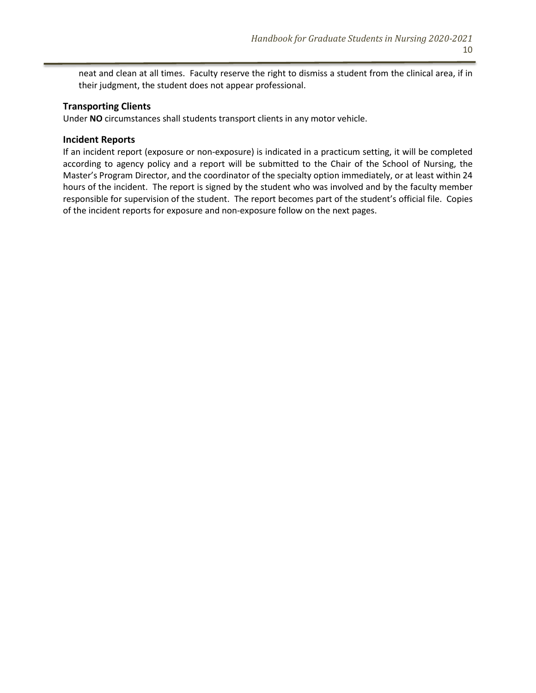neat and clean at all times. Faculty reserve the right to dismiss a student from the clinical area, if in their judgment, the student does not appear professional.

#### **Transporting Clients**

Under **NO** circumstances shall students transport clients in any motor vehicle.

#### **Incident Reports**

If an incident report (exposure or non-exposure) is indicated in a practicum setting, it will be completed according to agency policy and a report will be submitted to the Chair of the School of Nursing, the Master's Program Director, and the coordinator of the specialty option immediately, or at least within 24 hours of the incident. The report is signed by the student who was involved and by the faculty member responsible for supervision of the student. The report becomes part of the student's official file. Copies of the incident reports for exposure and non-exposure follow on the next pages.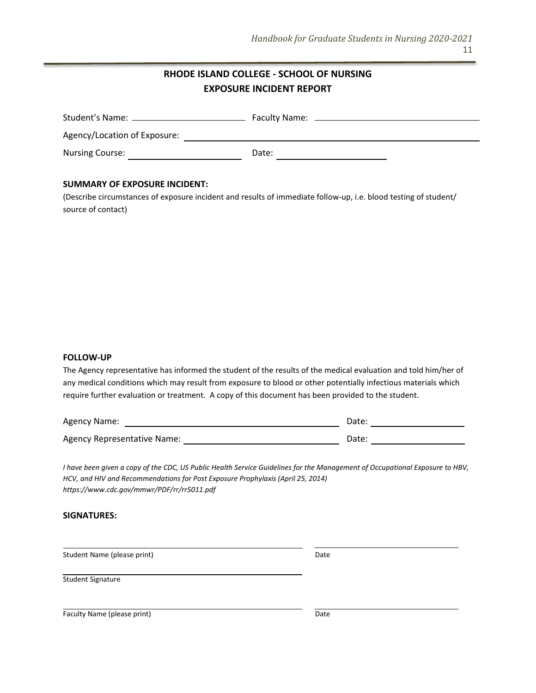# **RHODE ISLAND COLLEGE - SCHOOL OF NURSING EXPOSURE INCIDENT REPORT**

|                              | Faculty Name: |
|------------------------------|---------------|
| Agency/Location of Exposure: |               |
| <b>Nursing Course:</b>       | Date:         |

#### **SUMMARY OF EXPOSURE INCIDENT:**

(Describe circumstances of exposure incident and results of immediate follow-up, i.e. blood testing of student/ source of contact)

#### **FOLLOW-UP**

The Agency representative has informed the student of the results of the medical evaluation and told him/her of any medical conditions which may result from exposure to blood or other potentially infectious materials which require further evaluation or treatment. A copy of this document has been provided to the student.

| <b>Agency Name:</b>         | Date: |  |
|-----------------------------|-------|--|
| Agency Representative Name: | Date: |  |

*I have been given a copy of the CDC, US Public Health Service Guidelines for the Management of Occupational Exposure to HBV, HCV, and HIV and Recommendations for Post Exposure Prophylaxis (April 25, 2014) https://www.cdc.gov/mmwr/PDF/rr/rr5011.pdf*

#### **SIGNATURES:**

Student Name (please print) Date

Student Signature

Faculty Name (please print) Date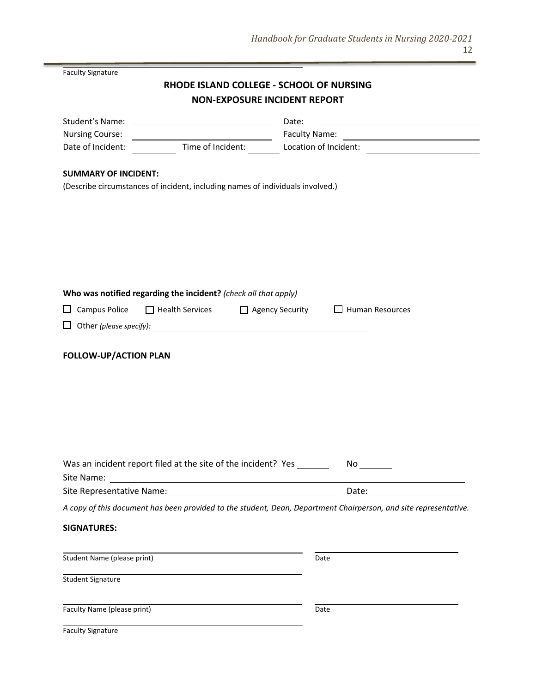.

|                                                                 | RHODE ISLAND COLLEGE - SCHOOL OF NURSING                                                                                                                                                              |
|-----------------------------------------------------------------|-------------------------------------------------------------------------------------------------------------------------------------------------------------------------------------------------------|
|                                                                 | <b>NON-EXPOSURE INCIDENT REPORT</b>                                                                                                                                                                   |
|                                                                 | Date:<br><u> 1980 - Johann Barn, mars an t-Amerikaansk politiker (* 1908)</u>                                                                                                                         |
|                                                                 |                                                                                                                                                                                                       |
|                                                                 | Time of Incident: Location of Incident: Letter Management Contains a Time of Incident:                                                                                                                |
|                                                                 |                                                                                                                                                                                                       |
|                                                                 |                                                                                                                                                                                                       |
|                                                                 |                                                                                                                                                                                                       |
|                                                                 |                                                                                                                                                                                                       |
|                                                                 |                                                                                                                                                                                                       |
|                                                                 |                                                                                                                                                                                                       |
|                                                                 |                                                                                                                                                                                                       |
|                                                                 |                                                                                                                                                                                                       |
|                                                                 |                                                                                                                                                                                                       |
| Who was notified regarding the incident? (check all that apply) |                                                                                                                                                                                                       |
| □ Health Services                                               | $\Box$ Human Resources<br>□ Agency Security                                                                                                                                                           |
|                                                                 |                                                                                                                                                                                                       |
|                                                                 |                                                                                                                                                                                                       |
| <b>FOLLOW-UP/ACTION PLAN</b>                                    |                                                                                                                                                                                                       |
|                                                                 |                                                                                                                                                                                                       |
|                                                                 |                                                                                                                                                                                                       |
|                                                                 |                                                                                                                                                                                                       |
|                                                                 |                                                                                                                                                                                                       |
|                                                                 |                                                                                                                                                                                                       |
|                                                                 |                                                                                                                                                                                                       |
|                                                                 |                                                                                                                                                                                                       |
|                                                                 |                                                                                                                                                                                                       |
|                                                                 |                                                                                                                                                                                                       |
|                                                                 | Date: ______________________                                                                                                                                                                          |
|                                                                 | A copy of this document has been provided to the student, Dean, Department Chairperson, and site representative.                                                                                      |
|                                                                 |                                                                                                                                                                                                       |
|                                                                 |                                                                                                                                                                                                       |
|                                                                 | Date                                                                                                                                                                                                  |
|                                                                 |                                                                                                                                                                                                       |
|                                                                 |                                                                                                                                                                                                       |
|                                                                 |                                                                                                                                                                                                       |
|                                                                 | Date                                                                                                                                                                                                  |
|                                                                 |                                                                                                                                                                                                       |
|                                                                 | <u> 1980 - Johann Barbara, martxa amerikan per</u><br>(Describe circumstances of incident, including names of individuals involved.)<br>Was an incident report filed at the site of the incident? Yes |

-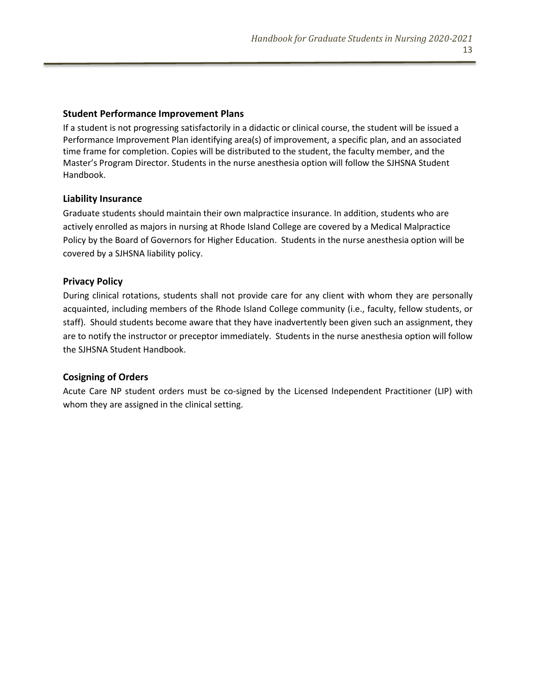#### **Student Performance Improvement Plans**

If a student is not progressing satisfactorily in a didactic or clinical course, the student will be issued a Performance Improvement Plan identifying area(s) of improvement, a specific plan, and an associated time frame for completion. Copies will be distributed to the student, the faculty member, and the Master's Program Director. Students in the nurse anesthesia option will follow the SJHSNA Student Handbook.

#### **Liability Insurance**

Graduate students should maintain their own malpractice insurance. In addition, students who are actively enrolled as majors in nursing at Rhode Island College are covered by a Medical Malpractice Policy by the Board of Governors for Higher Education. Students in the nurse anesthesia option will be covered by a SJHSNA liability policy.

# **Privacy Policy**

During clinical rotations, students shall not provide care for any client with whom they are personally acquainted, including members of the Rhode Island College community (i.e., faculty, fellow students, or staff). Should students become aware that they have inadvertently been given such an assignment, they are to notify the instructor or preceptor immediately. Students in the nurse anesthesia option will follow the SJHSNA Student Handbook.

# **Cosigning of Orders**

Acute Care NP student orders must be co-signed by the Licensed Independent Practitioner (LIP) with whom they are assigned in the clinical setting.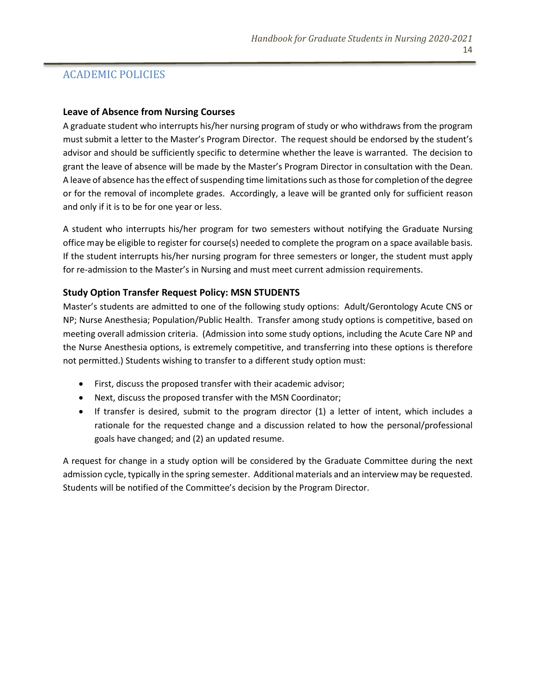# ACADEMIC POLICIES

#### **Leave of Absence from Nursing Courses**

A graduate student who interrupts his/her nursing program of study or who withdraws from the program must submit a letter to the Master's Program Director. The request should be endorsed by the student's advisor and should be sufficiently specific to determine whether the leave is warranted. The decision to grant the leave of absence will be made by the Master's Program Director in consultation with the Dean. A leave of absence has the effect of suspending time limitations such as those for completion of the degree or for the removal of incomplete grades. Accordingly, a leave will be granted only for sufficient reason and only if it is to be for one year or less.

A student who interrupts his/her program for two semesters without notifying the Graduate Nursing office may be eligible to register for course(s) needed to complete the program on a space available basis. If the student interrupts his/her nursing program for three semesters or longer, the student must apply for re-admission to the Master's in Nursing and must meet current admission requirements.

# **Study Option Transfer Request Policy: MSN STUDENTS**

Master's students are admitted to one of the following study options: Adult/Gerontology Acute CNS or NP; Nurse Anesthesia; Population/Public Health. Transfer among study options is competitive, based on meeting overall admission criteria. (Admission into some study options, including the Acute Care NP and the Nurse Anesthesia options, is extremely competitive, and transferring into these options is therefore not permitted.) Students wishing to transfer to a different study option must:

- First, discuss the proposed transfer with their academic advisor;
- Next, discuss the proposed transfer with the MSN Coordinator;
- If transfer is desired, submit to the program director (1) a letter of intent, which includes a rationale for the requested change and a discussion related to how the personal/professional goals have changed; and (2) an updated resume.

A request for change in a study option will be considered by the Graduate Committee during the next admission cycle, typically in the spring semester. Additional materials and an interview may be requested. Students will be notified of the Committee's decision by the Program Director.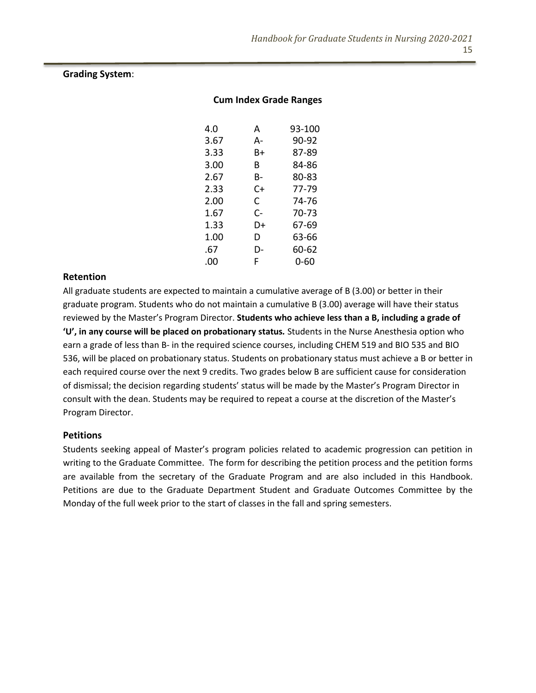#### **Grading System**:

#### **Cum Index Grade Ranges**

| 4.0  | А  | 93-100 |
|------|----|--------|
| 3.67 | А- | 90-92  |
| 3.33 | B+ | 87-89  |
| 3.00 | R  | 84-86  |
| 2.67 | B- | 80-83  |
| 2.33 | C+ | 77-79  |
| 2.00 | C. | 74-76  |
| 1.67 | C- | 70-73  |
| 1.33 | D+ | 67-69  |
| 1.00 | D  | 63-66  |
| .67  | D- | 60-62  |
| .oo  | F  | 0-60   |
|      |    |        |

#### **Retention**

All graduate students are expected to maintain a cumulative average of B (3.00) or better in their graduate program. Students who do not maintain a cumulative B (3.00) average will have their status reviewed by the Master's Program Director. **Students who achieve less than a B, including a grade of 'U', in any course will be placed on probationary status***.* Students in the Nurse Anesthesia option who earn a grade of less than B- in the required science courses, including CHEM 519 and BIO 535 and BIO 536, will be placed on probationary status. Students on probationary status must achieve a B or better in each required course over the next 9 credits. Two grades below B are sufficient cause for consideration of dismissal; the decision regarding students' status will be made by the Master's Program Director in consult with the dean. Students may be required to repeat a course at the discretion of the Master's Program Director.

#### **Petitions**

Students seeking appeal of Master's program policies related to academic progression can petition in writing to the Graduate Committee. The form for describing the petition process and the petition forms are available from the secretary of the Graduate Program and are also included in this Handbook. Petitions are due to the Graduate Department Student and Graduate Outcomes Committee by the Monday of the full week prior to the start of classes in the fall and spring semesters.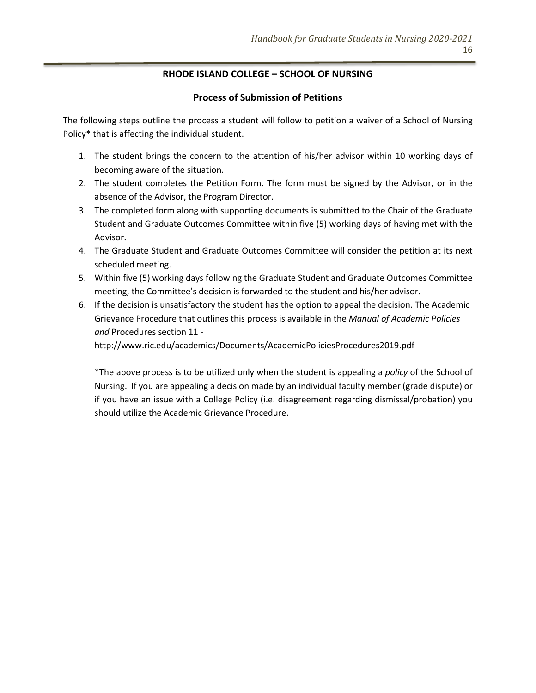# **RHODE ISLAND COLLEGE – SCHOOL OF NURSING**

#### **Process of Submission of Petitions**

The following steps outline the process a student will follow to petition a waiver of a School of Nursing Policy\* that is affecting the individual student.

- 1. The student brings the concern to the attention of his/her advisor within 10 working days of becoming aware of the situation.
- 2. The student completes the Petition Form. The form must be signed by the Advisor, or in the absence of the Advisor, the Program Director.
- 3. The completed form along with supporting documents is submitted to the Chair of the Graduate Student and Graduate Outcomes Committee within five (5) working days of having met with the Advisor.
- 4. The Graduate Student and Graduate Outcomes Committee will consider the petition at its next scheduled meeting.
- 5. Within five (5) working days following the Graduate Student and Graduate Outcomes Committee meeting, the Committee's decision is forwarded to the student and his/her advisor.
- 6. If the decision is unsatisfactory the student has the option to appeal the decision. The Academic Grievance Procedure that outlines this process is available in the *Manual of Academic Policies and* Procedures section 11 -

http://www.ric.edu/academics/Documents/AcademicPoliciesProcedures2019.pdf

\*The above process is to be utilized only when the student is appealing a *policy* of the School of Nursing. If you are appealing a decision made by an individual faculty member (grade dispute) or if you have an issue with a College Policy (i.e. disagreement regarding dismissal/probation) you should utilize the Academic Grievance Procedure.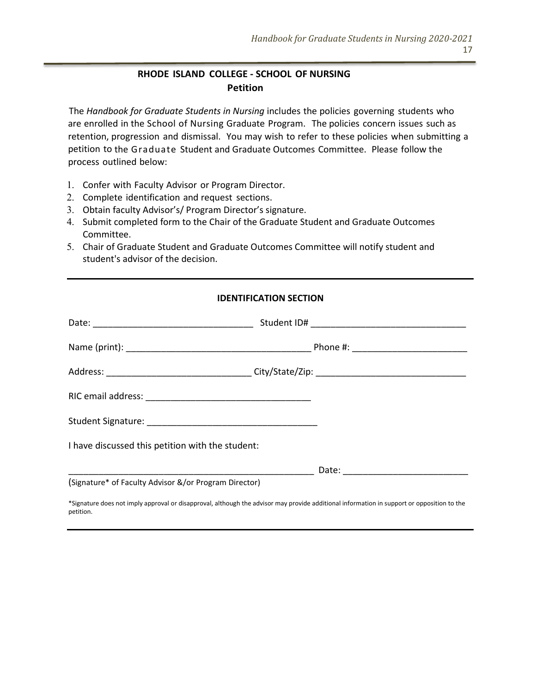# **RHODE ISLAND COLLEGE - SCHOOL OF NURSING Petition**

The *Handbook for Graduate Students in Nursing* includes the policies governing students who are enrolled in the School of Nursing Graduate Program. The policies concern issues such as retention, progression and dismissal. You may wish to refer to these policies when submitting a petition to the Graduate Student and Graduate Outcomes Committee. Please follow the process outlined below:

- 1. Confer with Faculty Advisor or Program Director.
- 2. Complete identification and request sections.
- 3. Obtain faculty Advisor's/ Program Director's signature.
- 4. Submit completed form to the Chair of the Graduate Student and Graduate Outcomes Committee.
- 5. Chair of Graduate Student and Graduate Outcomes Committee will notify student and student's advisor of the decision.

#### **IDENTIFICATION SECTION**

| I have discussed this petition with the student:                                                                                           |  |
|--------------------------------------------------------------------------------------------------------------------------------------------|--|
|                                                                                                                                            |  |
| (Signature* of Faculty Advisor &/or Program Director)                                                                                      |  |
| *Charles deep article belongerate and the second religious the real department and second defendant on the consequence of the state of the |  |

\*Signature does not imply approval or disapproval, although the advisor may provide additional information in support or opposition to the petition.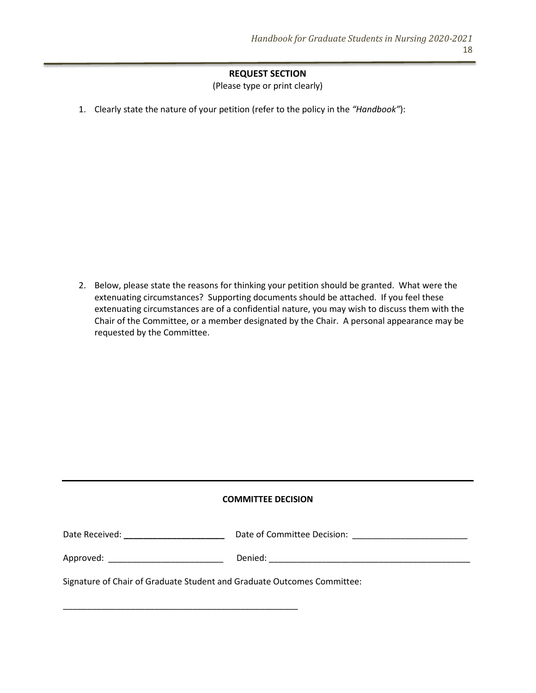# **REQUEST SECTION**

(Please type or print clearly)

1. Clearly state the nature of your petition (refer to the policy in the *"Handbook"*):

2. Below, please state the reasons for thinking your petition should be granted. What were the extenuating circumstances? Supporting documents should be attached. If you feel these extenuating circumstances are of a confidential nature, you may wish to discuss them with the Chair of the Committee, or a member designated by the Chair. A personal appearance may be requested by the Committee.

#### **COMMITTEE DECISION**

| Date Received: | Date of Committee Decision: |
|----------------|-----------------------------|
|----------------|-----------------------------|

Approved: \_\_\_\_\_\_\_\_\_\_\_\_\_\_\_\_\_\_\_\_\_\_\_\_ Denied: \_\_\_\_\_\_\_\_\_\_\_\_\_\_\_\_\_\_\_\_\_\_\_\_\_\_\_\_\_\_\_\_\_\_\_\_\_\_\_\_\_\_

\_\_\_\_\_\_\_\_\_\_\_\_\_\_\_\_\_\_\_\_\_\_\_\_\_\_\_\_\_\_\_\_\_\_\_\_\_\_\_\_\_\_\_\_\_\_\_\_\_

Signature of Chair of Graduate Student and Graduate Outcomes Committee: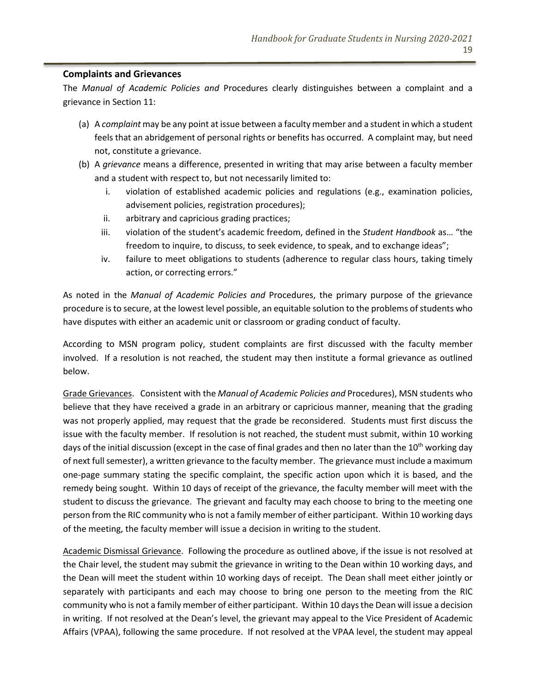#### **Complaints and Grievances**

The *Manual of Academic Policies and* Procedures clearly distinguishes between a complaint and a grievance in Section 11:

- (a) A *complaint* may be any point at issue between a faculty member and a student in which a student feels that an abridgement of personal rights or benefits has occurred. A complaint may, but need not, constitute a grievance.
- (b) A *grievance* means a difference, presented in writing that may arise between a faculty member and a student with respect to, but not necessarily limited to:
	- i. violation of established academic policies and regulations (e.g., examination policies, advisement policies, registration procedures);
	- ii. arbitrary and capricious grading practices;
	- iii. violation of the student's academic freedom, defined in the *Student Handbook* as… "the freedom to inquire, to discuss, to seek evidence, to speak, and to exchange ideas";
	- iv. failure to meet obligations to students (adherence to regular class hours, taking timely action, or correcting errors."

As noted in the *Manual of Academic Policies and* Procedures, the primary purpose of the grievance procedure is to secure, at the lowest level possible, an equitable solution to the problems of students who have disputes with either an academic unit or classroom or grading conduct of faculty.

According to MSN program policy, student complaints are first discussed with the faculty member involved. If a resolution is not reached, the student may then institute a formal grievance as outlined below.

Grade Grievances. Consistent with the *Manual of Academic Policies and* Procedures), MSN students who believe that they have received a grade in an arbitrary or capricious manner, meaning that the grading was not properly applied, may request that the grade be reconsidered. Students must first discuss the issue with the faculty member. If resolution is not reached, the student must submit, within 10 working days of the initial discussion (except in the case of final grades and then no later than the 10<sup>th</sup> working day of next full semester), a written grievance to the faculty member. The grievance must include a maximum one-page summary stating the specific complaint, the specific action upon which it is based, and the remedy being sought. Within 10 days of receipt of the grievance, the faculty member will meet with the student to discuss the grievance. The grievant and faculty may each choose to bring to the meeting one person from the RIC community who is not a family member of either participant. Within 10 working days of the meeting, the faculty member will issue a decision in writing to the student.

Academic Dismissal Grievance. Following the procedure as outlined above, if the issue is not resolved at the Chair level, the student may submit the grievance in writing to the Dean within 10 working days, and the Dean will meet the student within 10 working days of receipt. The Dean shall meet either jointly or separately with participants and each may choose to bring one person to the meeting from the RIC community who is not a family member of either participant. Within 10 days the Dean will issue a decision in writing. If not resolved at the Dean's level, the grievant may appeal to the Vice President of Academic Affairs (VPAA), following the same procedure. If not resolved at the VPAA level, the student may appeal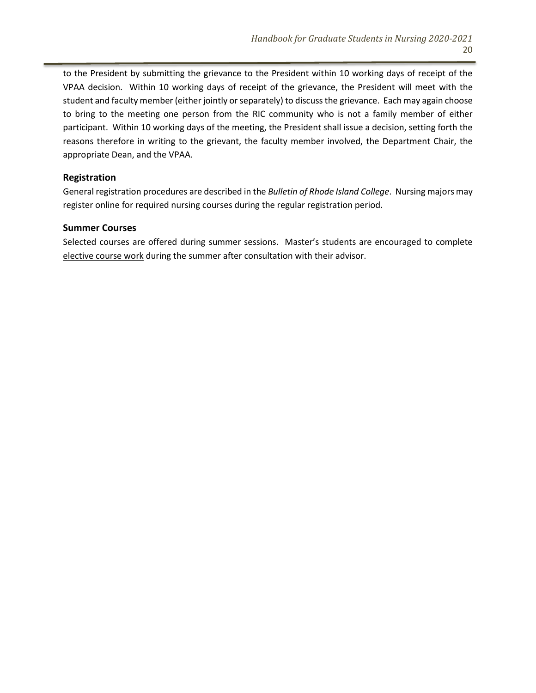to the President by submitting the grievance to the President within 10 working days of receipt of the VPAA decision. Within 10 working days of receipt of the grievance, the President will meet with the student and faculty member (either jointly or separately) to discuss the grievance. Each may again choose to bring to the meeting one person from the RIC community who is not a family member of either participant. Within 10 working days of the meeting, the President shall issue a decision, setting forth the reasons therefore in writing to the grievant, the faculty member involved, the Department Chair, the appropriate Dean, and the VPAA.

#### **Registration**

General registration procedures are described in the *Bulletin of Rhode Island College*. Nursing majors may register online for required nursing courses during the regular registration period.

#### **Summer Courses**

Selected courses are offered during summer sessions. Master's students are encouraged to complete elective course work during the summer after consultation with their advisor.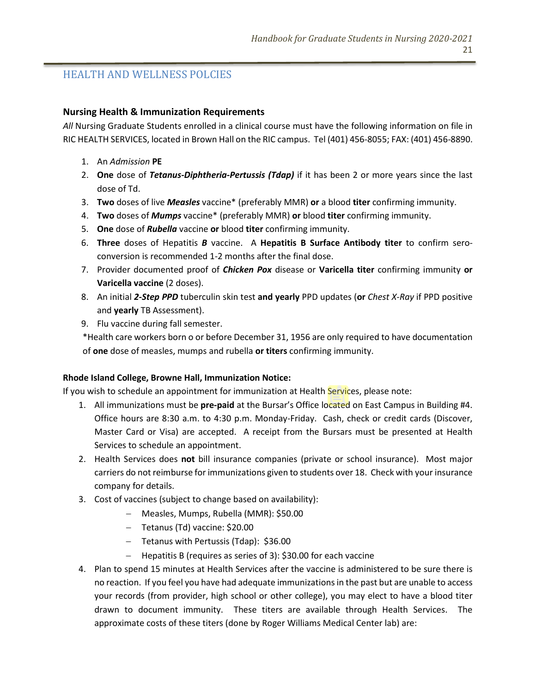# HEALTH AND WELLNESS POLCIES

#### **Nursing Health & Immunization Requirements**

*All* Nursing Graduate Students enrolled in a clinical course must have the following information on file in RIC HEALTH SERVICES, located in Brown Hall on the RIC campus. Tel (401) 456-8055; FAX: (401) 456-8890.

- 1. An *Admission* **PE**
- 2. **One** dose of *Tetanus-Diphtheria-Pertussis (Tdap)* if it has been 2 or more years since the last dose of Td.
- 3. **Two** doses of live *Measles* vaccine\* (preferably MMR) **or** a blood **titer** confirming immunity.
- 4. **Two** doses of *Mumps* vaccine\* (preferably MMR) **or** blood **titer** confirming immunity.
- 5. **One** dose of *Rubella* vaccine **or** blood **titer** confirming immunity.
- 6. **Three** doses of Hepatitis *B* vaccine. A **Hepatitis B Surface Antibody titer** to confirm seroconversion is recommended 1-2 months after the final dose.
- 7. Provider documented proof of *Chicken Pox* disease or **Varicella titer** confirming immunity **or Varicella vaccine** (2 doses).
- 8. An initial *2-Step PPD* tuberculin skin test **and yearly** PPD updates (**or** *Chest X-Ray* if PPD positive and **yearly** TB Assessment).
- 9. Flu vaccine during fall semester.

\*Health care workers born o or before December 31, 1956 are only required to have documentation of **one** dose of measles, mumps and rubella **or titers** confirming immunity.

#### **Rhode Island College, Browne Hall, Immunization Notice:**

If you wish to schedule an appointment for immunization at Health Services, please note:

- 1. All immunizations must be **pre-paid** at the Bursar's Office located on East Campus in Building #4. Office hours are 8:30 a.m. to 4:30 p.m. Monday-Friday. Cash, check or credit cards (Discover, Master Card or Visa) are accepted. A receipt from the Bursars must be presented at Health Services to schedule an appointment.
- 2. Health Services does **not** bill insurance companies (private or school insurance). Most major carriers do not reimburse for immunizations given to students over 18. Check with your insurance company for details.
- 3. Cost of vaccines (subject to change based on availability):
	- − Measles, Mumps, Rubella (MMR): \$50.00
	- − Tetanus (Td) vaccine: \$20.00
	- − Tetanus with Pertussis (Tdap): \$36.00
	- − Hepatitis B (requires as series of 3): \$30.00 for each vaccine
- 4. Plan to spend 15 minutes at Health Services after the vaccine is administered to be sure there is no reaction. If you feel you have had adequate immunizations in the past but are unable to access your records (from provider, high school or other college), you may elect to have a blood titer drawn to document immunity. These titers are available through Health Services. The approximate costs of these titers (done by Roger Williams Medical Center lab) are: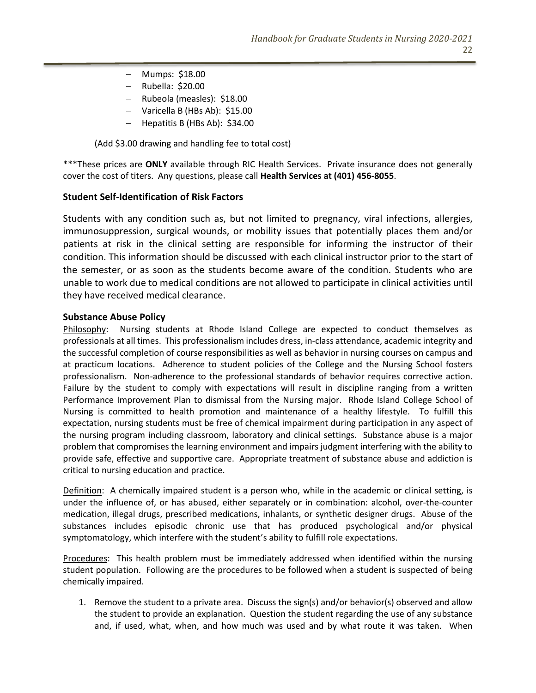- − Mumps: \$18.00
- − Rubella: \$20.00
- − Rubeola (measles): \$18.00
- − Varicella B (HBs Ab): \$15.00
- − Hepatitis B (HBs Ab): \$34.00

(Add \$3.00 drawing and handling fee to total cost)

\*\*\*These prices are **ONLY** available through RIC Health Services. Private insurance does not generally cover the cost of titers. Any questions, please call **Health Services at (401) 456-8055**.

#### **Student Self-Identification of Risk Factors**

Students with any condition such as, but not limited to pregnancy, viral infections, allergies, immunosuppression, surgical wounds, or mobility issues that potentially places them and/or patients at risk in the clinical setting are responsible for informing the instructor of their condition. This information should be discussed with each clinical instructor prior to the start of the semester, or as soon as the students become aware of the condition. Students who are unable to work due to medical conditions are not allowed to participate in clinical activities until they have received medical clearance.

#### **Substance Abuse Policy**

Philosophy: Nursing students at Rhode Island College are expected to conduct themselves as professionals at all times. This professionalism includes dress, in-class attendance, academic integrity and the successful completion of course responsibilities as well as behavior in nursing courses on campus and at practicum locations. Adherence to student policies of the College and the Nursing School fosters professionalism. Non-adherence to the professional standards of behavior requires corrective action. Failure by the student to comply with expectations will result in discipline ranging from a written Performance Improvement Plan to dismissal from the Nursing major. Rhode Island College School of Nursing is committed to health promotion and maintenance of a healthy lifestyle. To fulfill this expectation, nursing students must be free of chemical impairment during participation in any aspect of the nursing program including classroom, laboratory and clinical settings. Substance abuse is a major problem that compromises the learning environment and impairs judgment interfering with the ability to provide safe, effective and supportive care. Appropriate treatment of substance abuse and addiction is critical to nursing education and practice.

Definition: A chemically impaired student is a person who, while in the academic or clinical setting, is under the influence of, or has abused, either separately or in combination: alcohol, over-the-counter medication, illegal drugs, prescribed medications, inhalants, or synthetic designer drugs. Abuse of the substances includes episodic chronic use that has produced psychological and/or physical symptomatology, which interfere with the student's ability to fulfill role expectations.

Procedures: This health problem must be immediately addressed when identified within the nursing student population. Following are the procedures to be followed when a student is suspected of being chemically impaired.

1. Remove the student to a private area. Discuss the sign(s) and/or behavior(s) observed and allow the student to provide an explanation. Question the student regarding the use of any substance and, if used, what, when, and how much was used and by what route it was taken. When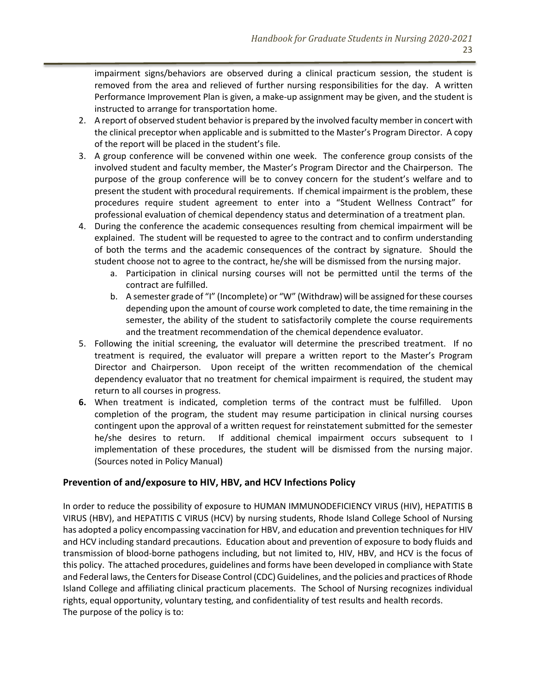impairment signs/behaviors are observed during a clinical practicum session, the student is removed from the area and relieved of further nursing responsibilities for the day. A written Performance Improvement Plan is given, a make-up assignment may be given, and the student is instructed to arrange for transportation home.

- 2. A report of observed student behavior is prepared by the involved faculty member in concert with the clinical preceptor when applicable and is submitted to the Master's Program Director. A copy of the report will be placed in the student's file.
- 3. A group conference will be convened within one week. The conference group consists of the involved student and faculty member, the Master's Program Director and the Chairperson. The purpose of the group conference will be to convey concern for the student's welfare and to present the student with procedural requirements. If chemical impairment is the problem, these procedures require student agreement to enter into a "Student Wellness Contract" for professional evaluation of chemical dependency status and determination of a treatment plan.
- 4. During the conference the academic consequences resulting from chemical impairment will be explained. The student will be requested to agree to the contract and to confirm understanding of both the terms and the academic consequences of the contract by signature. Should the student choose not to agree to the contract, he/she will be dismissed from the nursing major.
	- a. Participation in clinical nursing courses will not be permitted until the terms of the contract are fulfilled.
	- b. A semester grade of "I" (Incomplete) or "W" (Withdraw) will be assigned for these courses depending upon the amount of course work completed to date, the time remaining in the semester, the ability of the student to satisfactorily complete the course requirements and the treatment recommendation of the chemical dependence evaluator.
- 5. Following the initial screening, the evaluator will determine the prescribed treatment. If no treatment is required, the evaluator will prepare a written report to the Master's Program Director and Chairperson. Upon receipt of the written recommendation of the chemical dependency evaluator that no treatment for chemical impairment is required, the student may return to all courses in progress.
- **6.** When treatment is indicated, completion terms of the contract must be fulfilled. Upon completion of the program, the student may resume participation in clinical nursing courses contingent upon the approval of a written request for reinstatement submitted for the semester he/she desires to return. If additional chemical impairment occurs subsequent to I implementation of these procedures, the student will be dismissed from the nursing major. (Sources noted in Policy Manual)

#### **Prevention of and/exposure to HIV, HBV, and HCV Infections Policy**

In order to reduce the possibility of exposure to HUMAN IMMUNODEFICIENCY VIRUS (HIV), HEPATITIS B VIRUS (HBV), and HEPATITIS C VIRUS (HCV) by nursing students, Rhode Island College School of Nursing has adopted a policy encompassing vaccination for HBV, and education and prevention techniques for HIV and HCV including standard precautions. Education about and prevention of exposure to body fluids and transmission of blood-borne pathogens including, but not limited to, HIV, HBV, and HCV is the focus of this policy. The attached procedures, guidelines and forms have been developed in compliance with State and Federal laws, the Centers for Disease Control (CDC) Guidelines, and the policies and practices of Rhode Island College and affiliating clinical practicum placements. The School of Nursing recognizes individual rights, equal opportunity, voluntary testing, and confidentiality of test results and health records. The purpose of the policy is to: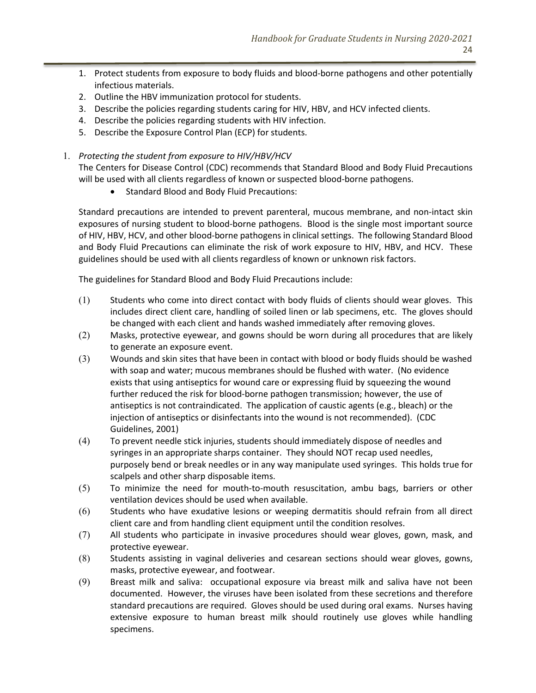- 1. Protect students from exposure to body fluids and blood-borne pathogens and other potentially infectious materials.
- 2. Outline the HBV immunization protocol for students.
- 3. Describe the policies regarding students caring for HIV, HBV, and HCV infected clients.
- 4. Describe the policies regarding students with HIV infection.
- 5. Describe the Exposure Control Plan (ECP) for students.
- 1. *Protecting the student from exposure to HIV/HBV/HCV*

The Centers for Disease Control (CDC) recommends that Standard Blood and Body Fluid Precautions will be used with all clients regardless of known or suspected blood-borne pathogens.

• Standard Blood and Body Fluid Precautions:

Standard precautions are intended to prevent parenteral, mucous membrane, and non-intact skin exposures of nursing student to blood-borne pathogens. Blood is the single most important source of HIV, HBV, HCV, and other blood-borne pathogens in clinical settings. The following Standard Blood and Body Fluid Precautions can eliminate the risk of work exposure to HIV, HBV, and HCV. These guidelines should be used with all clients regardless of known or unknown risk factors.

The guidelines for Standard Blood and Body Fluid Precautions include:

- $(1)$  Students who come into direct contact with body fluids of clients should wear gloves. This includes direct client care, handling of soiled linen or lab specimens, etc. The gloves should be changed with each client and hands washed immediately after removing gloves.
- (2) Masks, protective eyewear, and gowns should be worn during all procedures that are likely to generate an exposure event.
- (3) Wounds and skin sites that have been in contact with blood or body fluids should be washed with soap and water; mucous membranes should be flushed with water. (No evidence exists that using antiseptics for wound care or expressing fluid by squeezing the wound further reduced the risk for blood-borne pathogen transmission; however, the use of antiseptics is not contraindicated. The application of caustic agents (e.g., bleach) or the injection of antiseptics or disinfectants into the wound is not recommended). (CDC Guidelines, 2001)
- (4) To prevent needle stick injuries, students should immediately dispose of needles and syringes in an appropriate sharps container. They should NOT recap used needles, purposely bend or break needles or in any way manipulate used syringes. This holds true for scalpels and other sharp disposable items.
- (5) To minimize the need for mouth-to-mouth resuscitation, ambu bags, barriers or other ventilation devices should be used when available.
- (6) Students who have exudative lesions or weeping dermatitis should refrain from all direct client care and from handling client equipment until the condition resolves.
- (7) All students who participate in invasive procedures should wear gloves, gown, mask, and protective eyewear.
- (8) Students assisting in vaginal deliveries and cesarean sections should wear gloves, gowns, masks, protective eyewear, and footwear.
- (9) Breast milk and saliva: occupational exposure via breast milk and saliva have not been documented. However, the viruses have been isolated from these secretions and therefore standard precautions are required. Gloves should be used during oral exams. Nurses having extensive exposure to human breast milk should routinely use gloves while handling specimens.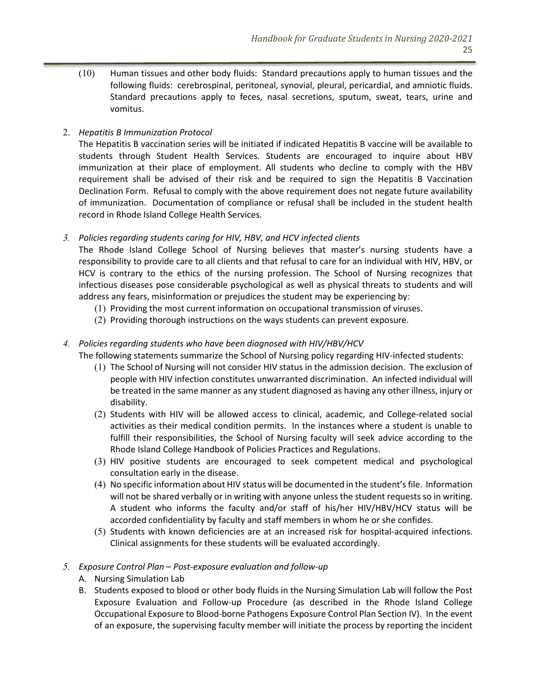(10) Human tissues and other body fluids: Standard precautions apply to human tissues and the following fluids: cerebrospinal, peritoneal, synovial, pleural, pericardial, and amniotic fluids. Standard precautions apply to feces, nasal secretions, sputum, sweat, tears, urine and vomitus.

# 2. *Hepatitis B Immunization Protocol*

The Hepatitis B vaccination series will be initiated if indicated Hepatitis B vaccine will be available to students through Student Health Services. Students are encouraged to inquire about HBV immunization at their place of employment. All students who decline to comply with the HBV requirement shall be advised of their risk and be required to sign the Hepatitis B Vaccination Declination Form. Refusal to comply with the above requirement does not negate future availability of immunization. Documentation of compliance or refusal shall be included in the student health record in Rhode Island College Health Services.

#### *3. Policies regarding students caring for HIV, HBV, and HCV infected clients*

The Rhode Island College School of Nursing believes that master's nursing students have a responsibility to provide care to all clients and that refusal to care for an individual with HIV, HBV, or HCV is contrary to the ethics of the nursing profession. The School of Nursing recognizes that infectious diseases pose considerable psychological as well as physical threats to students and will address any fears, misinformation or prejudices the student may be experiencing by:

- (1) Providing the most current information on occupational transmission of viruses.
- (2) Providing thorough instructions on the ways students can prevent exposure.

# *4. Policies regarding students who have been diagnosed with HIV/HBV/HCV*

The following statements summarize the School of Nursing policy regarding HIV-infected students:

- (1) The School of Nursing will not consider HIV status in the admission decision. The exclusion of people with HIV infection constitutes unwarranted discrimination. An infected individual will be treated in the same manner as any student diagnosed as having any other illness, injury or disability.
- (2) Students with HIV will be allowed access to clinical, academic, and College-related social activities as their medical condition permits. In the instances where a student is unable to fulfill their responsibilities, the School of Nursing faculty will seek advice according to the Rhode Island College Handbook of Policies Practices and Regulations.
- (3) HIV positive students are encouraged to seek competent medical and psychological consultation early in the disease.
- (4) No specific information about HIV status will be documented in the student's file. Information will not be shared verbally or in writing with anyone unless the student requests so in writing. A student who informs the faculty and/or staff of his/her HIV/HBV/HCV status will be accorded confidentiality by faculty and staff members in whom he or she confides.
- (5) Students with known deficiencies are at an increased risk for hospital-acquired infections. Clinical assignments for these students will be evaluated accordingly.

#### *5. Exposure Control Plan – Post-exposure evaluation and follow-up*

- A. Nursing Simulation Lab
- B. Students exposed to blood or other body fluids in the Nursing Simulation Lab will follow the Post Exposure Evaluation and Follow-up Procedure (as described in the Rhode Island College Occupational Exposure to Blood-borne Pathogens Exposure Control Plan Section IV). In the event of an exposure, the supervising faculty member will initiate the process by reporting the incident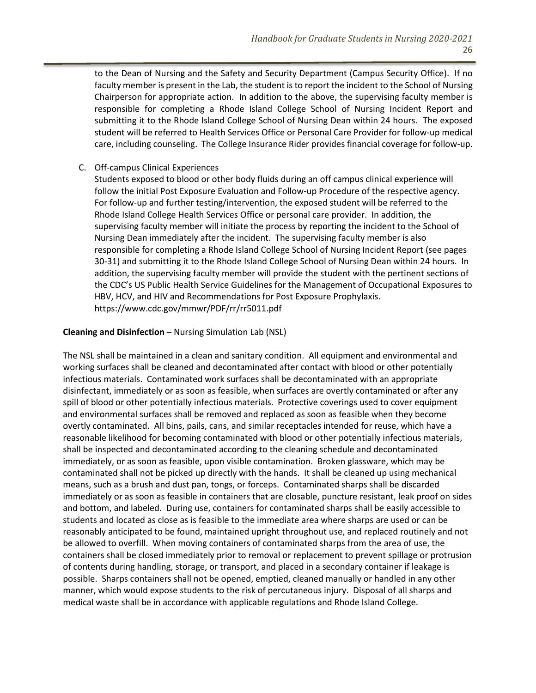to the Dean of Nursing and the Safety and Security Department (Campus Security Office). If no faculty member is present in the Lab, the student is to report the incident to the School of Nursing Chairperson for appropriate action. In addition to the above, the supervising faculty member is responsible for completing a Rhode Island College School of Nursing Incident Report and submitting it to the Rhode Island College School of Nursing Dean within 24 hours. The exposed student will be referred to Health Services Office or Personal Care Provider for follow-up medical care, including counseling. The College Insurance Rider provides financial coverage for follow-up.

#### C. Off-campus Clinical Experiences

Students exposed to blood or other body fluids during an off campus clinical experience will follow the initial Post Exposure Evaluation and Follow-up Procedure of the respective agency. For follow-up and further testing/intervention, the exposed student will be referred to the Rhode Island College Health Services Office or personal care provider. In addition, the supervising faculty member will initiate the process by reporting the incident to the School of Nursing Dean immediately after the incident. The supervising faculty member is also responsible for completing a Rhode Island College School of Nursing Incident Report (see pages 30-31) and submitting it to the Rhode Island College School of Nursing Dean within 24 hours. In addition, the supervising faculty member will provide the student with the pertinent sections of the CDC's US Public Health Service Guidelines for the Management of Occupational Exposures to HBV, HCV, and HIV and Recommendations for Post Exposure Prophylaxis. https://www.cdc.gov/mmwr/PDF/rr/rr5011.pdf

#### **Cleaning and Disinfection –** Nursing Simulation Lab (NSL)

The NSL shall be maintained in a clean and sanitary condition. All equipment and environmental and working surfaces shall be cleaned and decontaminated after contact with blood or other potentially infectious materials. Contaminated work surfaces shall be decontaminated with an appropriate disinfectant, immediately or as soon as feasible, when surfaces are overtly contaminated or after any spill of blood or other potentially infectious materials. Protective coverings used to cover equipment and environmental surfaces shall be removed and replaced as soon as feasible when they become overtly contaminated. All bins, pails, cans, and similar receptacles intended for reuse, which have a reasonable likelihood for becoming contaminated with blood or other potentially infectious materials, shall be inspected and decontaminated according to the cleaning schedule and decontaminated immediately, or as soon as feasible, upon visible contamination. Broken glassware, which may be contaminated shall not be picked up directly with the hands. It shall be cleaned up using mechanical means, such as a brush and dust pan, tongs, or forceps. Contaminated sharps shall be discarded immediately or as soon as feasible in containers that are closable, puncture resistant, leak proof on sides and bottom, and labeled. During use, containers for contaminated sharps shall be easily accessible to students and located as close as is feasible to the immediate area where sharps are used or can be reasonably anticipated to be found, maintained upright throughout use, and replaced routinely and not be allowed to overfill. When moving containers of contaminated sharps from the area of use, the containers shall be closed immediately prior to removal or replacement to prevent spillage or protrusion of contents during handling, storage, or transport, and placed in a secondary container if leakage is possible. Sharps containers shall not be opened, emptied, cleaned manually or handled in any other manner, which would expose students to the risk of percutaneous injury. Disposal of all sharps and medical waste shall be in accordance with applicable regulations and Rhode Island College.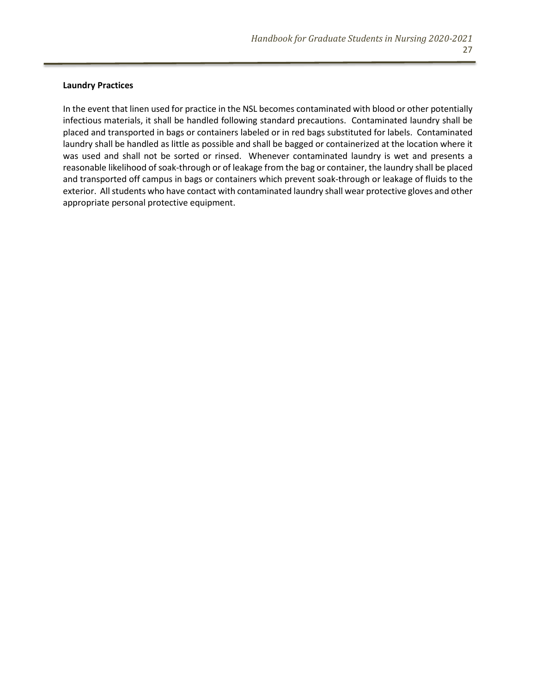#### **Laundry Practices**

In the event that linen used for practice in the NSL becomes contaminated with blood or other potentially infectious materials, it shall be handled following standard precautions. Contaminated laundry shall be placed and transported in bags or containers labeled or in red bags substituted for labels. Contaminated laundry shall be handled as little as possible and shall be bagged or containerized at the location where it was used and shall not be sorted or rinsed. Whenever contaminated laundry is wet and presents a reasonable likelihood of soak-through or of leakage from the bag or container, the laundry shall be placed and transported off campus in bags or containers which prevent soak-through or leakage of fluids to the exterior. All students who have contact with contaminated laundry shall wear protective gloves and other appropriate personal protective equipment.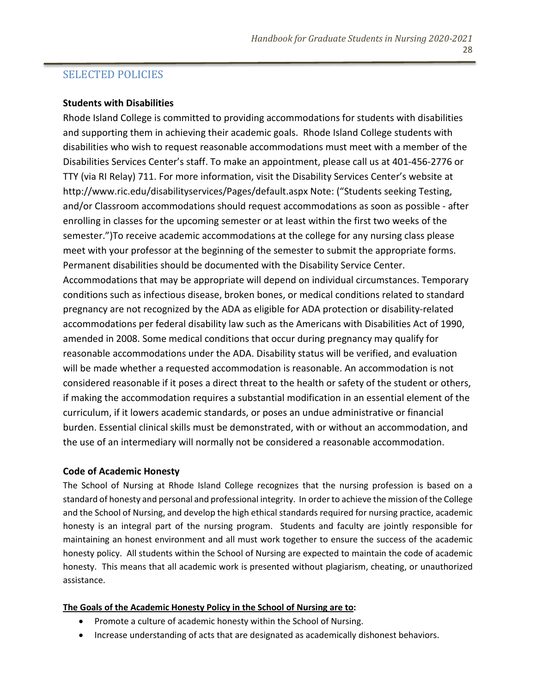# SELECTED POLICIES

#### **Students with Disabilities**

Rhode Island College is committed to providing accommodations for students with disabilities and supporting them in achieving their academic goals. Rhode Island College students with disabilities who wish to request reasonable accommodations must meet with a member of the Disabilities Services Center's staff. To make an appointment, please call us at 401-456-2776 or TTY (via RI Relay) 711. For more information, visit the Disability Services Center's website at http://www.ric.edu/disabilityservices/Pages/default.aspx Note: ("Students seeking Testing, and/or Classroom accommodations should request accommodations as soon as possible - after enrolling in classes for the upcoming semester or at least within the first two weeks of the semester.")To receive academic accommodations at the college for any nursing class please meet with your professor at the beginning of the semester to submit the appropriate forms. Permanent disabilities should be documented with the Disability Service Center. Accommodations that may be appropriate will depend on individual circumstances. Temporary conditions such as infectious disease, broken bones, or medical conditions related to standard pregnancy are not recognized by the ADA as eligible for ADA protection or disability-related accommodations per federal disability law such as the Americans with Disabilities Act of 1990, amended in 2008. Some medical conditions that occur during pregnancy may qualify for reasonable accommodations under the ADA. Disability status will be verified, and evaluation will be made whether a requested accommodation is reasonable. An accommodation is not considered reasonable if it poses a direct threat to the health or safety of the student or others, if making the accommodation requires a substantial modification in an essential element of the curriculum, if it lowers academic standards, or poses an undue administrative or financial burden. Essential clinical skills must be demonstrated, with or without an accommodation, and the use of an intermediary will normally not be considered a reasonable accommodation.

#### **Code of Academic Honesty**

The School of Nursing at Rhode Island College recognizes that the nursing profession is based on a standard of honesty and personal and professional integrity. In order to achieve the mission of the College and the School of Nursing, and develop the high ethical standards required for nursing practice, academic honesty is an integral part of the nursing program. Students and faculty are jointly responsible for maintaining an honest environment and all must work together to ensure the success of the academic honesty policy. All students within the School of Nursing are expected to maintain the code of academic honesty. This means that all academic work is presented without plagiarism, cheating, or unauthorized assistance.

#### **The Goals of the Academic Honesty Policy in the School of Nursing are to:**

- Promote a culture of academic honesty within the School of Nursing.
- Increase understanding of acts that are designated as academically dishonest behaviors.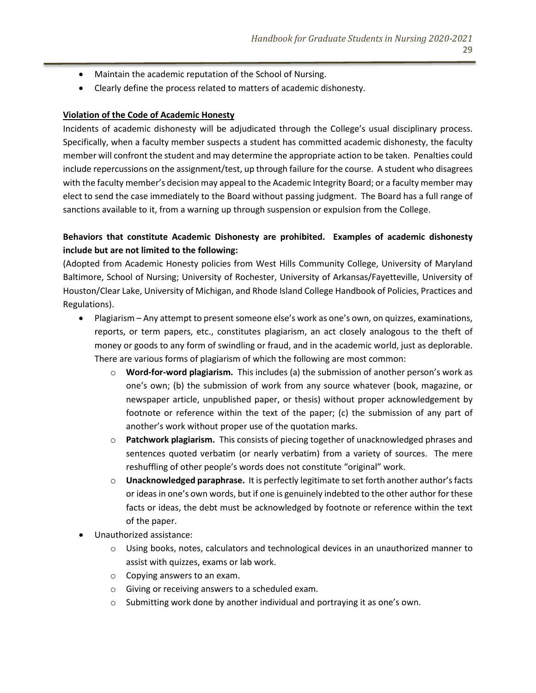- Maintain the academic reputation of the School of Nursing.
- Clearly define the process related to matters of academic dishonesty.

#### **Violation of the Code of Academic Honesty**

Incidents of academic dishonesty will be adjudicated through the College's usual disciplinary process. Specifically, when a faculty member suspects a student has committed academic dishonesty, the faculty member will confront the student and may determine the appropriate action to be taken. Penalties could include repercussions on the assignment/test, up through failure for the course. A student who disagrees with the faculty member's decision may appeal to the Academic Integrity Board; or a faculty member may elect to send the case immediately to the Board without passing judgment. The Board has a full range of sanctions available to it, from a warning up through suspension or expulsion from the College.

# **Behaviors that constitute Academic Dishonesty are prohibited. Examples of academic dishonesty include but are not limited to the following:**

(Adopted from Academic Honesty policies from West Hills Community College, University of Maryland Baltimore, School of Nursing; University of Rochester, University of Arkansas/Fayetteville, University of Houston/Clear Lake, University of Michigan, and Rhode Island College Handbook of Policies, Practices and Regulations).

- Plagiarism Any attempt to present someone else's work as one's own, on quizzes, examinations, reports, or term papers, etc., constitutes plagiarism, an act closely analogous to the theft of money or goods to any form of swindling or fraud, and in the academic world, just as deplorable. There are various forms of plagiarism of which the following are most common:
	- o **Word-for-word plagiarism.** This includes (a) the submission of another person's work as one's own; (b) the submission of work from any source whatever (book, magazine, or newspaper article, unpublished paper, or thesis) without proper acknowledgement by footnote or reference within the text of the paper; (c) the submission of any part of another's work without proper use of the quotation marks.
	- o **Patchwork plagiarism.** This consists of piecing together of unacknowledged phrases and sentences quoted verbatim (or nearly verbatim) from a variety of sources. The mere reshuffling of other people's words does not constitute "original" work.
	- o **Unacknowledged paraphrase.** It is perfectly legitimate to set forth another author's facts or ideas in one's own words, but if one is genuinely indebted to the other author for these facts or ideas, the debt must be acknowledged by footnote or reference within the text of the paper.
- Unauthorized assistance:
	- o Using books, notes, calculators and technological devices in an unauthorized manner to assist with quizzes, exams or lab work.
	- o Copying answers to an exam.
	- o Giving or receiving answers to a scheduled exam.
	- $\circ$  Submitting work done by another individual and portraying it as one's own.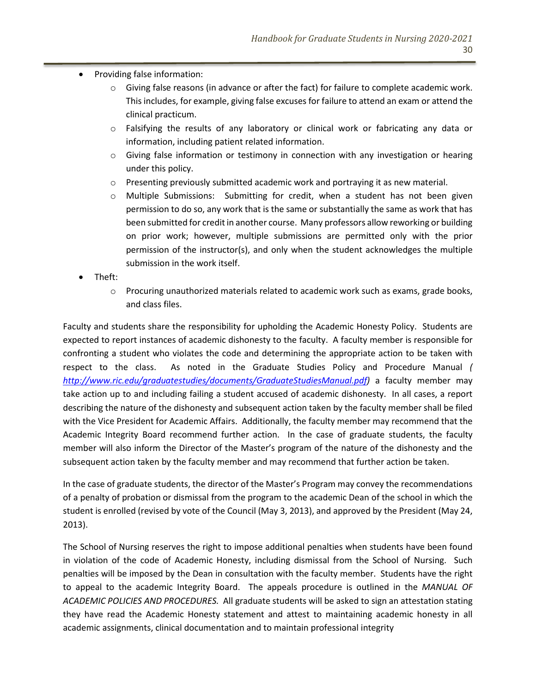- Providing false information:
	- $\circ$  Giving false reasons (in advance or after the fact) for failure to complete academic work. This includes, for example, giving false excuses for failure to attend an exam or attend the clinical practicum.
	- o Falsifying the results of any laboratory or clinical work or fabricating any data or information, including patient related information.
	- $\circ$  Giving false information or testimony in connection with any investigation or hearing under this policy.
	- $\circ$  Presenting previously submitted academic work and portraying it as new material.
	- $\circ$  Multiple Submissions: Submitting for credit, when a student has not been given permission to do so, any work that is the same or substantially the same as work that has been submitted for credit in another course. Many professors allow reworking or building on prior work; however, multiple submissions are permitted only with the prior permission of the instructor(s), and only when the student acknowledges the multiple submission in the work itself.
- Theft:
	- $\circ$  Procuring unauthorized materials related to academic work such as exams, grade books, and class files.

Faculty and students share the responsibility for upholding the Academic Honesty Policy. Students are expected to report instances of academic dishonesty to the faculty. A faculty member is responsible for confronting a student who violates the code and determining the appropriate action to be taken with respect to the class. As noted in the Graduate Studies Policy and Procedure Manual *( [http://www.ric.edu/graduatestudies/documents/GraduateStudiesManual.pdf\)](http://www.ric.edu/graduatestudies/documents/GraduateStudiesManual.pdf)* a faculty member may take action up to and including failing a student accused of academic dishonesty. In all cases, a report describing the nature of the dishonesty and subsequent action taken by the faculty member shall be filed with the Vice President for Academic Affairs. Additionally, the faculty member may recommend that the Academic Integrity Board recommend further action. In the case of graduate students, the faculty member will also inform the Director of the Master's program of the nature of the dishonesty and the subsequent action taken by the faculty member and may recommend that further action be taken.

In the case of graduate students, the director of the Master's Program may convey the recommendations of a penalty of probation or dismissal from the program to the academic Dean of the school in which the student is enrolled (revised by vote of the Council (May 3, 2013), and approved by the President (May 24, 2013).

The School of Nursing reserves the right to impose additional penalties when students have been found in violation of the code of Academic Honesty, including dismissal from the School of Nursing. Such penalties will be imposed by the Dean in consultation with the faculty member. Students have the right to appeal to the academic Integrity Board. The appeals procedure is outlined in the *MANUAL OF ACADEMIC POLICIES AND PROCEDURES.* All graduate students will be asked to sign an attestation stating they have read the Academic Honesty statement and attest to maintaining academic honesty in all academic assignments, clinical documentation and to maintain professional integrity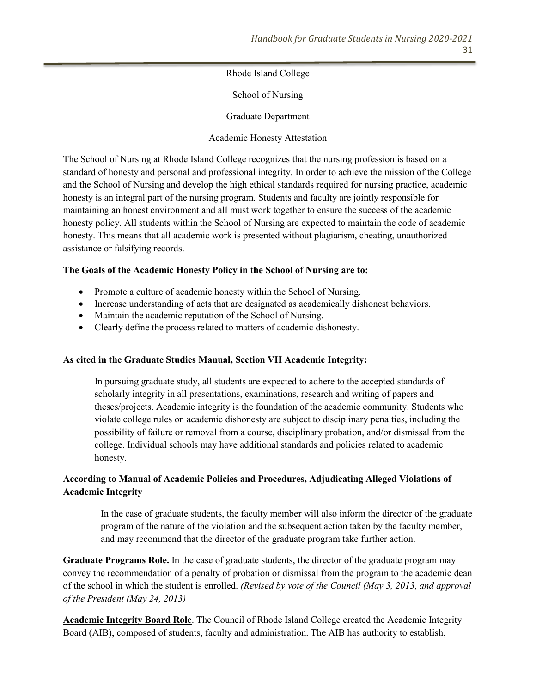Rhode Island College

School of Nursing

Graduate Department

Academic Honesty Attestation

The School of Nursing at Rhode Island College recognizes that the nursing profession is based on a standard of honesty and personal and professional integrity. In order to achieve the mission of the College and the School of Nursing and develop the high ethical standards required for nursing practice, academic honesty is an integral part of the nursing program. Students and faculty are jointly responsible for maintaining an honest environment and all must work together to ensure the success of the academic honesty policy. All students within the School of Nursing are expected to maintain the code of academic honesty. This means that all academic work is presented without plagiarism, cheating, unauthorized assistance or falsifying records.

#### **The Goals of the Academic Honesty Policy in the School of Nursing are to:**

- Promote a culture of academic honesty within the School of Nursing.
- Increase understanding of acts that are designated as academically dishonest behaviors.
- Maintain the academic reputation of the School of Nursing.
- Clearly define the process related to matters of academic dishonesty.

#### **As cited in the Graduate Studies Manual, Section VII Academic Integrity:**

In pursuing graduate study, all students are expected to adhere to the accepted standards of scholarly integrity in all presentations, examinations, research and writing of papers and theses/projects. Academic integrity is the foundation of the academic community. Students who violate college rules on academic dishonesty are subject to disciplinary penalties, including the possibility of failure or removal from a course, disciplinary probation, and/or dismissal from the college. Individual schools may have additional standards and policies related to academic honesty.

# **According to Manual of Academic Policies and Procedures, Adjudicating Alleged Violations of Academic Integrity**

In the case of graduate students, the faculty member will also inform the director of the graduate program of the nature of the violation and the subsequent action taken by the faculty member, and may recommend that the director of the graduate program take further action.

**Graduate Programs Role.** In the case of graduate students, the director of the graduate program may convey the recommendation of a penalty of probation or dismissal from the program to the academic dean of the school in which the student is enrolled. *(Revised by vote of the Council (May 3, 2013, and approval of the President (May 24, 2013)*

**Academic Integrity Board Role**. The Council of Rhode Island College created the Academic Integrity Board (AIB), composed of students, faculty and administration. The AIB has authority to establish,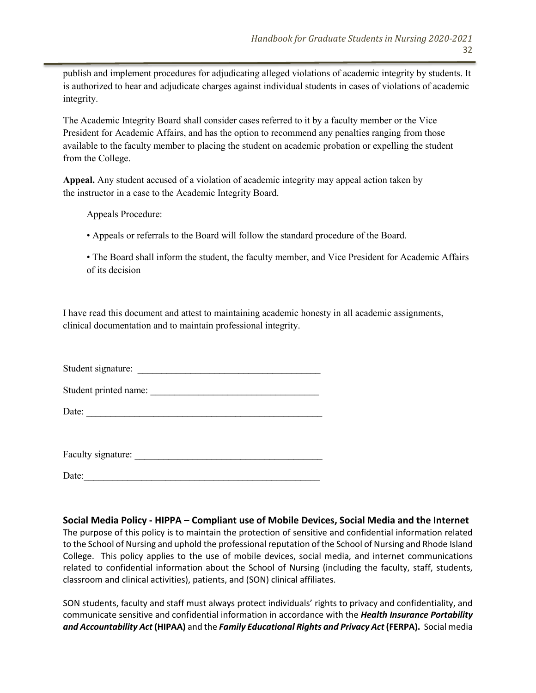publish and implement procedures for adjudicating alleged violations of academic integrity by students. It is authorized to hear and adjudicate charges against individual students in cases of violations of academic integrity.

The Academic Integrity Board shall consider cases referred to it by a faculty member or the Vice President for Academic Affairs, and has the option to recommend any penalties ranging from those available to the faculty member to placing the student on academic probation or expelling the student from the College.

**Appeal.** Any student accused of a violation of academic integrity may appeal action taken by the instructor in a case to the Academic Integrity Board.

Appeals Procedure:

• Appeals or referrals to the Board will follow the standard procedure of the Board.

• The Board shall inform the student, the faculty member, and Vice President for Academic Affairs of its decision

I have read this document and attest to maintaining academic honesty in all academic assignments, clinical documentation and to maintain professional integrity.

Student signature:

Student printed name: \_\_\_\_\_\_\_\_\_\_\_\_\_\_\_\_\_\_\_\_\_\_\_\_\_\_\_\_\_\_\_\_\_\_\_

Date:

Faculty signature: \_\_\_\_\_\_\_\_\_\_\_\_\_\_\_\_\_\_\_\_\_\_\_\_\_\_\_\_\_\_\_\_\_\_\_\_\_\_\_

 $Date:$ 

**Social Media Policy - HIPPA – Compliant use of Mobile Devices, Social Media and the Internet**

The purpose of this policy is to maintain the protection of sensitive and confidential information related to the School of Nursing and uphold the professional reputation of the School of Nursing and Rhode Island College. This policy applies to the use of mobile devices, social media, and internet communications related to confidential information about the School of Nursing (including the faculty, staff, students, classroom and clinical activities), patients, and (SON) clinical affiliates.

SON students, faculty and staff must always protect individuals' rights to privacy and confidentiality, and communicate sensitive and confidential information in accordance with the *Health Insurance Portability and Accountability Act* **(HIPAA)** and the *Family Educational Rights and Privacy Act* **(FERPA).** Social media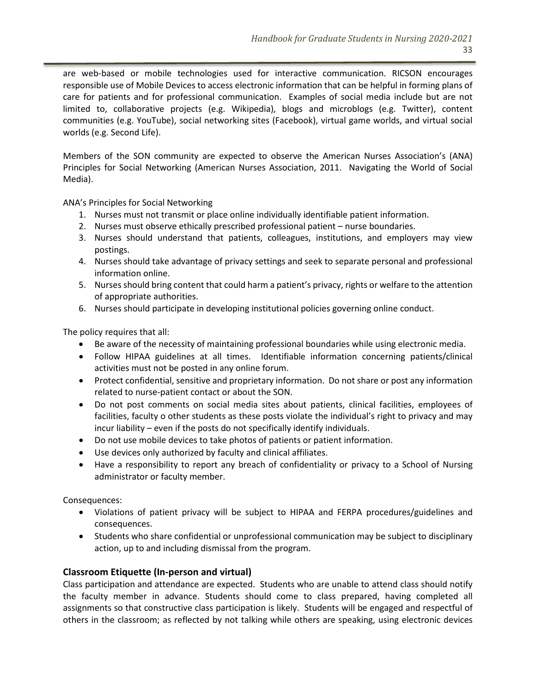are web-based or mobile technologies used for interactive communication. RICSON encourages responsible use of Mobile Devices to access electronic information that can be helpful in forming plans of care for patients and for professional communication. Examples of social media include but are not limited to, collaborative projects (e.g. Wikipedia), blogs and microblogs (e.g. Twitter), content communities (e.g. YouTube), social networking sites (Facebook), virtual game worlds, and virtual social worlds (e.g. Second Life).

Members of the SON community are expected to observe the American Nurses Association's (ANA) Principles for Social Networking (American Nurses Association, 2011. Navigating the World of Social Media).

ANA's Principles for Social Networking

- 1. Nurses must not transmit or place online individually identifiable patient information.
- 2. Nurses must observe ethically prescribed professional patient nurse boundaries.
- 3. Nurses should understand that patients, colleagues, institutions, and employers may view postings.
- 4. Nurses should take advantage of privacy settings and seek to separate personal and professional information online.
- 5. Nurses should bring content that could harm a patient's privacy, rights or welfare to the attention of appropriate authorities.
- 6. Nurses should participate in developing institutional policies governing online conduct.

The policy requires that all:

- Be aware of the necessity of maintaining professional boundaries while using electronic media.
- Follow HIPAA guidelines at all times. Identifiable information concerning patients/clinical activities must not be posted in any online forum.
- Protect confidential, sensitive and proprietary information. Do not share or post any information related to nurse-patient contact or about the SON.
- Do not post comments on social media sites about patients, clinical facilities, employees of facilities, faculty o other students as these posts violate the individual's right to privacy and may incur liability – even if the posts do not specifically identify individuals.
- Do not use mobile devices to take photos of patients or patient information.
- Use devices only authorized by faculty and clinical affiliates.
- Have a responsibility to report any breach of confidentiality or privacy to a School of Nursing administrator or faculty member.

Consequences:

- Violations of patient privacy will be subject to HIPAA and FERPA procedures/guidelines and consequences.
- Students who share confidential or unprofessional communication may be subject to disciplinary action, up to and including dismissal from the program.

#### **Classroom Etiquette (In-person and virtual)**

Class participation and attendance are expected. Students who are unable to attend class should notify the faculty member in advance. Students should come to class prepared, having completed all assignments so that constructive class participation is likely. Students will be engaged and respectful of others in the classroom; as reflected by not talking while others are speaking, using electronic devices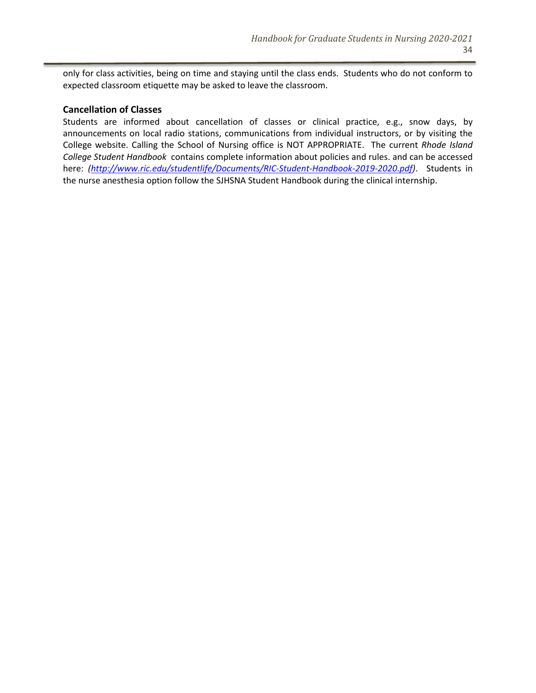only for class activities, being on time and staying until the class ends. Students who do not conform to expected classroom etiquette may be asked to leave the classroom.

#### **Cancellation of Classes**

Students are informed about cancellation of classes or clinical practice, e.g., snow days, by announcements on local radio stations, communications from individual instructors, or by visiting the College website. Calling the School of Nursing office is NOT APPROPRIATE. The current *Rhode Island College Student Handbook* contains complete information about policies and rules. and can be accessed here: *[\(http://www.ric.edu/studentlife/Documents/RIC-Student-Handbook-2019-2020.pdf\)](http://www.ric.edu/studentlife/Documents/RIC-Student-Handbook-2019-2020.pdf)*. Students in the nurse anesthesia option follow the SJHSNA Student Handbook during the clinical internship.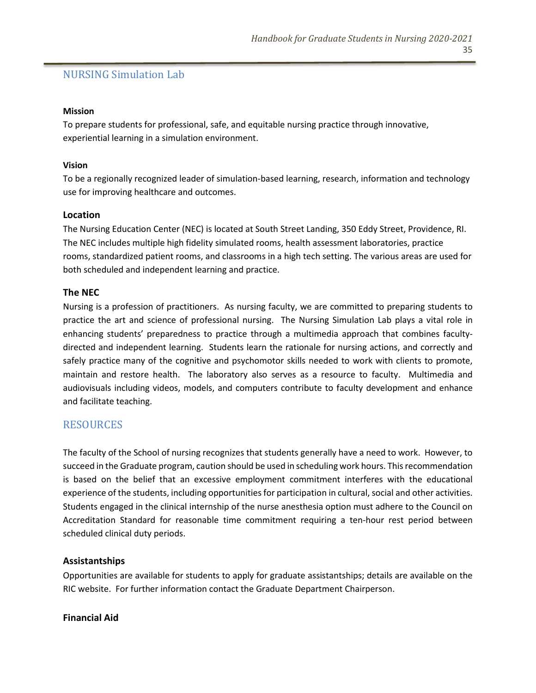# NURSING Simulation Lab

#### **Mission**

To prepare students for professional, safe, and equitable nursing practice through innovative, experiential learning in a simulation environment.

#### **Vision**

To be a regionally recognized leader of simulation-based learning, research, information and technology use for improving healthcare and outcomes.

# **Location**

The Nursing Education Center (NEC) is located at South Street Landing, 350 Eddy Street, Providence, RI. The NEC includes multiple high fidelity simulated rooms, health assessment laboratories, practice rooms, standardized patient rooms, and classrooms in a high tech setting. The various areas are used for both scheduled and independent learning and practice.

#### **The NEC**

Nursing is a profession of practitioners. As nursing faculty, we are committed to preparing students to practice the art and science of professional nursing. The Nursing Simulation Lab plays a vital role in enhancing students' preparedness to practice through a multimedia approach that combines facultydirected and independent learning. Students learn the rationale for nursing actions, and correctly and safely practice many of the cognitive and psychomotor skills needed to work with clients to promote, maintain and restore health. The laboratory also serves as a resource to faculty. Multimedia and audiovisuals including videos, models, and computers contribute to faculty development and enhance and facilitate teaching.

# **RESOURCES**

The faculty of the School of nursing recognizes that students generally have a need to work. However, to succeed in the Graduate program, caution should be used in scheduling work hours. This recommendation is based on the belief that an excessive employment commitment interferes with the educational experience of the students, including opportunities for participation in cultural, social and other activities. Students engaged in the clinical internship of the nurse anesthesia option must adhere to the Council on Accreditation Standard for reasonable time commitment requiring a ten-hour rest period between scheduled clinical duty periods.

# **Assistantships**

Opportunities are available for students to apply for graduate assistantships; details are available on the RIC website. For further information contact the Graduate Department Chairperson.

**Financial Aid**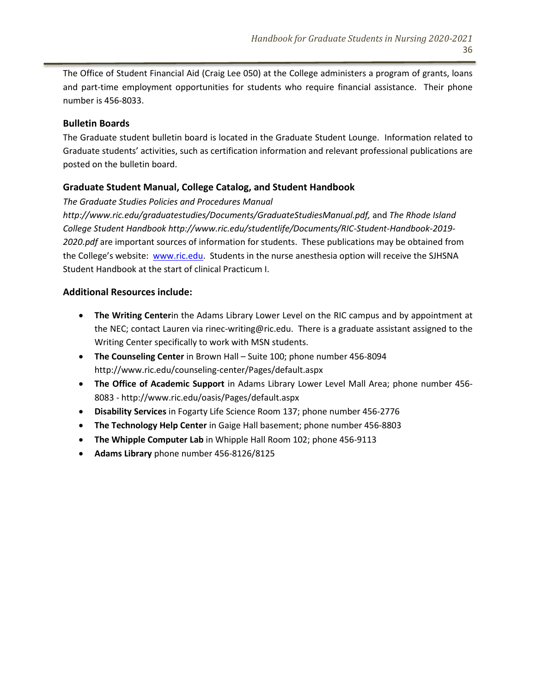The Office of Student Financial Aid (Craig Lee 050) at the College administers a program of grants, loans and part-time employment opportunities for students who require financial assistance. Their phone number is 456-8033.

#### **Bulletin Boards**

The Graduate student bulletin board is located in the Graduate Student Lounge. Information related to Graduate students' activities, such as certification information and relevant professional publications are posted on the bulletin board.

# **Graduate Student Manual, College Catalog, and Student Handbook**

*The Graduate Studies Policies and Procedures Manual*

*http://www.ric.edu/graduatestudies/Documents/GraduateStudiesManual.pdf,* and *The Rhode Island College Student Handbook http://www.ric.edu/studentlife/Documents/RIC-Student-Handbook-2019- 2020.pdf* are important sources of information for students. These publications may be obtained from the College's website: [www.ric.edu.](http://www.ric.edu/) Students in the nurse anesthesia option will receive the SJHSNA Student Handbook at the start of clinical Practicum I.

#### **Additional Resources include:**

- **The Writing Center**in the Adams Library Lower Level on the RIC campus and by appointment at the NEC; contact Lauren via rinec-writing@ric.edu. There is a graduate assistant assigned to the Writing Center specifically to work with MSN students.
- **The Counseling Center** in Brown Hall Suite 100; phone number 456-8094 http://www.ric.edu/counseling-center/Pages/default.aspx
- **The Office of Academic Support** in Adams Library Lower Level Mall Area; phone number 456- 8083 - http://www.ric.edu/oasis/Pages/default.aspx
- **Disability Services** in Fogarty Life Science Room 137; phone number 456-2776
- **The Technology Help Center** in Gaige Hall basement; phone number 456-8803
- **The Whipple Computer Lab** in Whipple Hall Room 102; phone 456-9113
- **Adams Library** phone number 456-8126/8125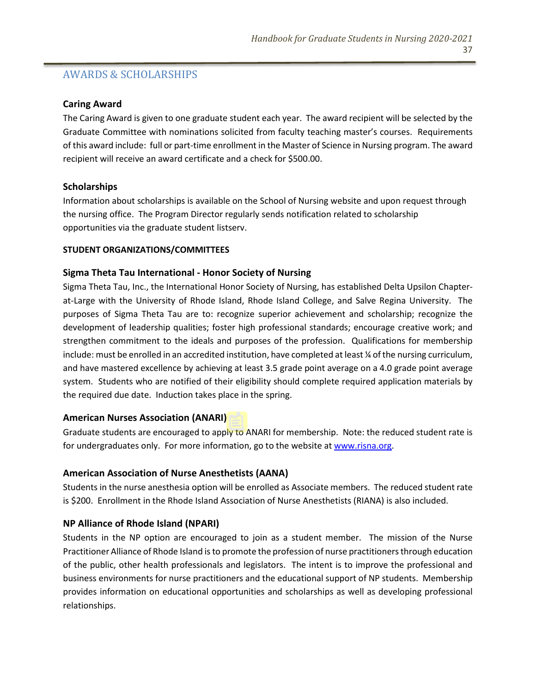# AWARDS & SCHOLARSHIPS

#### **Caring Award**

The Caring Award is given to one graduate student each year. The award recipient will be selected by the Graduate Committee with nominations solicited from faculty teaching master's courses. Requirements of this award include: full or part-time enrollment in the Master of Science in Nursing program. The award recipient will receive an award certificate and a check for \$500.00.

# **Scholarships**

Information about scholarships is available on the School of Nursing website and upon request through the nursing office. The Program Director regularly sends notification related to scholarship opportunities via the graduate student listserv.

#### **STUDENT ORGANIZATIONS/COMMITTEES**

#### **Sigma Theta Tau International - Honor Society of Nursing**

Sigma Theta Tau, Inc., the International Honor Society of Nursing, has established Delta Upsilon Chapterat-Large with the University of Rhode Island, Rhode Island College, and Salve Regina University. The purposes of Sigma Theta Tau are to: recognize superior achievement and scholarship; recognize the development of leadership qualities; foster high professional standards; encourage creative work; and strengthen commitment to the ideals and purposes of the profession. Qualifications for membership include: must be enrolled in an accredited institution, have completed at least ¼ of the nursing curriculum, and have mastered excellence by achieving at least 3.5 grade point average on a 4.0 grade point average system. Students who are notified of their eligibility should complete required application materials by the required due date. Induction takes place in the spring.

# **American Nurses Association (ANARI)**

Graduate students are encouraged to apply to ANARI for membership. Note: the reduced student rate is for undergraduates only. For more information, go to the website at [www.risna.org.](http://www.risna.org/)

# **American Association of Nurse Anesthetists (AANA)**

Students in the nurse anesthesia option will be enrolled as Associate members. The reduced student rate is \$200. Enrollment in the Rhode Island Association of Nurse Anesthetists (RIANA) is also included.

# **NP Alliance of Rhode Island (NPARI)**

Students in the NP option are encouraged to join as a student member. The mission of the Nurse Practitioner Alliance of Rhode Island is to promote the profession of nurse practitioners through education of the public, other health professionals and legislators. The intent is to improve the professional and business environments for nurse practitioners and the educational support of NP students. Membership provides information on educational opportunities and scholarships as well as developing professional relationships.